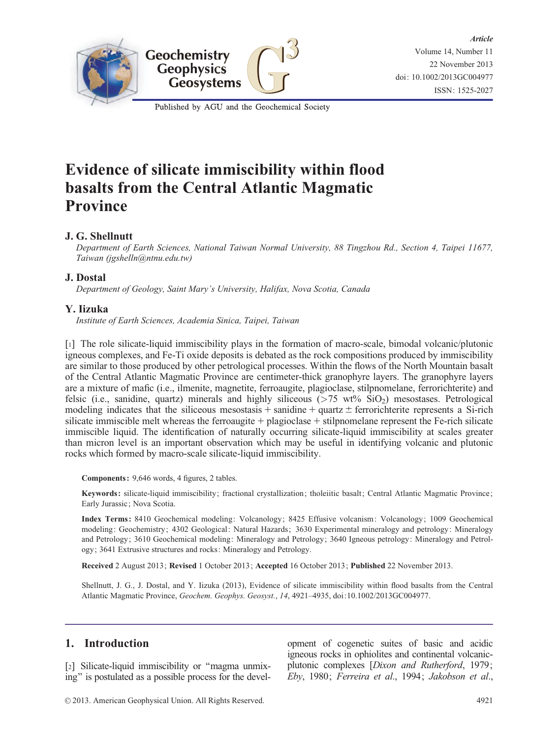

Published by AGU and the Geochemical Society

# Evidence of silicate immiscibility within flood basalts from the Central Atlantic Magmatic Province

# J. G. Shellnutt

Department of Earth Sciences, National Taiwan Normal University, 88 Tingzhou Rd., Section 4, Taipei 11677, Taiwan (jgshelln@ntnu.edu.tw)

# J. Dostal

Department of Geology, Saint Mary's University, Halifax, Nova Scotia, Canada

## Y. Iizuka

Institute of Earth Sciences, Academia Sinica, Taipei, Taiwan

[1] The role silicate-liquid immiscibility plays in the formation of macro-scale, bimodal volcanic/plutonic igneous complexes, and Fe-Ti oxide deposits is debated as the rock compositions produced by immiscibility are similar to those produced by other petrological processes. Within the flows of the North Mountain basalt of the Central Atlantic Magmatic Province are centimeter-thick granophyre layers. The granophyre layers are a mixture of mafic (i.e., ilmenite, magnetite, ferroaugite, plagioclase, stilpnomelane, ferrorichterite) and felsic (i.e., sanidine, quartz) minerals and highly siliceous ( $> 75$  wt%  $SiO<sub>2</sub>$ ) mesostases. Petrological modeling indicates that the siliceous mesostasis  $+$  sanidine  $+$  quartz  $\pm$  ferrorichterite represents a Si-rich silicate immiscible melt whereas the ferroaugite  $+$  plagioclase  $+$  stilpnomelane represent the Fe-rich silicate immiscible liquid. The identification of naturally occurring silicate-liquid immiscibility at scales greater than micron level is an important observation which may be useful in identifying volcanic and plutonic rocks which formed by macro-scale silicate-liquid immiscibility.

Components : 9,646 words, 4 figures, 2 tables.

Keywords : silicate-liquid immiscibility; fractional crystallization; tholeiitic basalt; Central Atlantic Magmatic Province; Early Jurassic; Nova Scotia.

Index Terms : 8410 Geochemical modeling: Volcanology; 8425 Effusive volcanism: Volcanology; 1009 Geochemical modeling: Geochemistry; 4302 Geological: Natural Hazards; 3630 Experimental mineralogy and petrology: Mineralogy and Petrology; 3610 Geochemical modeling: Mineralogy and Petrology; 3640 Igneous petrology: Mineralogy and Petrology; 3641 Extrusive structures and rocks: Mineralogy and Petrology.

Received 2 August 2013; Revised 1 October 2013; Accepted 16 October 2013; Published 22 November 2013.

Shellnutt, J. G., J. Dostal, and Y. Iizuka (2013), Evidence of silicate immiscibility within flood basalts from the Central Atlantic Magmatic Province, Geochem. Geophys. Geosyst., 14, 4921–4935, doi[:10.1002/2013GC004977.](info:doi/10.1002/ggge.20297)

# 1. Introduction

[2] Silicate-liquid immiscibility or "magma unmixing'' is postulated as a possible process for the devel-

opment of cogenetic suites of basic and acidic igneous rocks in ophiolites and continental volcanicplutonic complexes [Dixon and Rutherford, 1979; Eby, 1980; Ferreira et al., 1994; Jakobson et al.,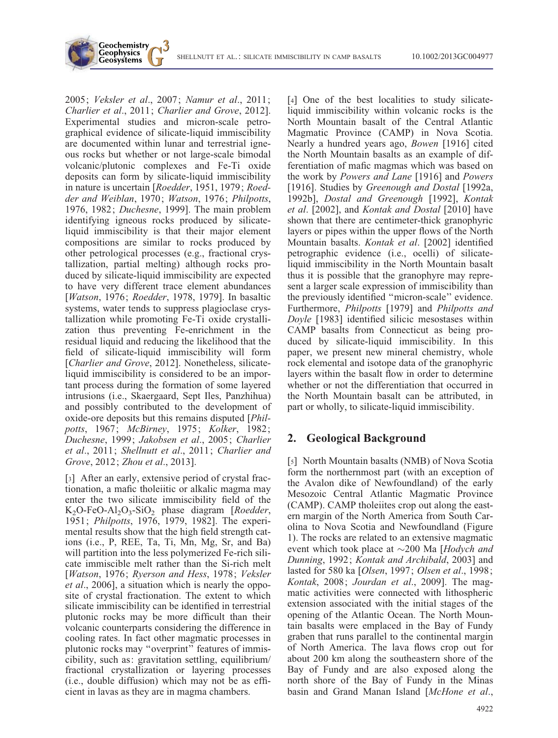SHELLNUTT ET AL.: SILICATE IMMISCIBILITY IN CAMP BASALTS 10.1002/2013GC004977

2005; Veksler et al., 2007; Namur et al., 2011; Charlier et al., 2011; Charlier and Grove, 2012]. Experimental studies and micron-scale petrographical evidence of silicate-liquid immiscibility are documented within lunar and terrestrial igneous rocks but whether or not large-scale bimodal volcanic/plutonic complexes and Fe-Ti oxide deposits can form by silicate-liquid immiscibility in nature is uncertain [Roedder, 1951, 1979; Roedder and Weiblan, 1970; Watson, 1976; Philpotts, 1976, 1982; Duchesne, 1999]. The main problem identifying igneous rocks produced by silicateliquid immiscibility is that their major element compositions are similar to rocks produced by other petrological processes (e.g., fractional crystallization, partial melting) although rocks produced by silicate-liquid immiscibility are expected to have very different trace element abundances [*Watson*, 1976; Roedder, 1978, 1979]. In basaltic systems, water tends to suppress plagioclase crystallization while promoting Fe-Ti oxide crystallization thus preventing Fe-enrichment in the residual liquid and reducing the likelihood that the field of silicate-liquid immiscibility will form [*Charlier and Grove*, 2012]. Nonetheless, silicateliquid immiscibility is considered to be an important process during the formation of some layered intrusions (i.e., Skaergaard, Sept Iles, Panzhihua) and possibly contributed to the development of oxide-ore deposits but this remains disputed [Philpotts, 1967; McBirney, 1975; Kolker, 1982; Duchesne, 1999; Jakobsen et al., 2005; Charlier et al., 2011; Shellnutt et al., 2011; Charlier and Grove, 2012; Zhou et al., 2013].

Geochemistry **Geophysics Geosystems** 

[3] After an early, extensive period of crystal fractionation, a mafic tholeiitic or alkalic magma may enter the two silicate immiscibility field of the  $K_2O-FeO-Al_2O_3-SiO_2$  phase diagram [*Roedder*, 1951; Philpotts, 1976, 1979, 1982]. The experimental results show that the high field strength cations (i.e., P, REE, Ta, Ti, Mn, Mg, Sr, and Ba) will partition into the less polymerized Fe-rich silicate immiscible melt rather than the Si-rich melt [Watson, 1976; Ryerson and Hess, 1978; Veksler et al., 2006], a situation which is nearly the opposite of crystal fractionation. The extent to which silicate immiscibility can be identified in terrestrial plutonic rocks may be more difficult than their volcanic counterparts considering the difference in cooling rates. In fact other magmatic processes in plutonic rocks may ''overprint'' features of immiscibility, such as: gravitation settling, equilibrium/ fractional crystallization or layering processes (i.e., double diffusion) which may not be as efficient in lavas as they are in magma chambers.

[4] One of the best localities to study silicateliquid immiscibility within volcanic rocks is the North Mountain basalt of the Central Atlantic Magmatic Province (CAMP) in Nova Scotia. Nearly a hundred years ago, Bowen [1916] cited the North Mountain basalts as an example of differentiation of mafic magmas which was based on the work by Powers and Lane [1916] and Powers [1916]. Studies by Greenough and Dostal [1992a, 1992b], Dostal and Greenough [1992], Kontak et al. [2002], and Kontak and Dostal [2010] have shown that there are centimeter-thick granophyric layers or pipes within the upper flows of the North Mountain basalts. Kontak et al. [2002] identified petrographic evidence (i.e., ocelli) of silicateliquid immiscibility in the North Mountain basalt thus it is possible that the granophyre may represent a larger scale expression of immiscibility than the previously identified ''micron-scale'' evidence. Furthermore, Philpotts [1979] and Philpotts and Doyle [1983] identified silicic mesostases within CAMP basalts from Connecticut as being produced by silicate-liquid immiscibility. In this paper, we present new mineral chemistry, whole rock elemental and isotope data of the granophyric layers within the basalt flow in order to determine whether or not the differentiation that occurred in the North Mountain basalt can be attributed, in part or wholly, to silicate-liquid immiscibility.

# 2. Geological Background

[5] North Mountain basalts (NMB) of Nova Scotia form the northernmost part (with an exception of the Avalon dike of Newfoundland) of the early Mesozoic Central Atlantic Magmatic Province (CAMP). CAMP tholeiites crop out along the eastern margin of the North America from South Carolina to Nova Scotia and Newfoundland (Figure 1). The rocks are related to an extensive magmatic event which took place at  $\sim$ 200 Ma [Hodych and Dunning, 1992; Kontak and Archibald, 2003] and lasted for 580 ka [Olsen, 1997; Olsen et al., 1998; Kontak, 2008; Jourdan et al., 2009]. The magmatic activities were connected with lithospheric extension associated with the initial stages of the opening of the Atlantic Ocean. The North Mountain basalts were emplaced in the Bay of Fundy graben that runs parallel to the continental margin of North America. The lava flows crop out for about 200 km along the southeastern shore of the Bay of Fundy and are also exposed along the north shore of the Bay of Fundy in the Minas basin and Grand Manan Island [McHone et al.,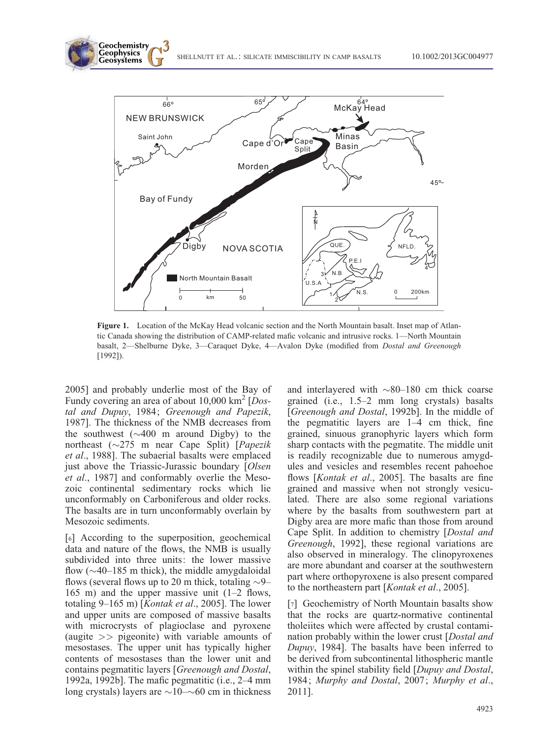SHELLNUTT ET AL.: SILICATE IMMISCIBILITY IN CAMP BASALTS 10.1002/2013GC004977



Figure 1. Location of the McKay Head volcanic section and the North Mountain basalt. Inset map of Atlantic Canada showing the distribution of CAMP-related mafic volcanic and intrusive rocks. 1—North Mountain basalt, 2—Shelburne Dyke, 3—Caraquet Dyke, 4—Avalon Dyke (modified from Dostal and Greenough [1992]).

2005] and probably underlie most of the Bay of Fundy covering an area of about  $10,000 \text{ km}^2$  [Dostal and Dupuy, 1984; Greenough and Papezik, 1987]. The thickness of the NMB decreases from the southwest  $(\sim 400$  m around Digby) to the northeast  $(\sim 275$  m near Cape Split) [*Papezik* et al., 1988]. The subaerial basalts were emplaced just above the Triassic-Jurassic boundary [Olsen] et al., 1987] and conformably overlie the Mesozoic continental sedimentary rocks which lie unconformably on Carboniferous and older rocks. The basalts are in turn unconformably overlain by Mesozoic sediments.

Geochemistry **Geophysics Geosystems** 

[6] According to the superposition, geochemical data and nature of the flows, the NMB is usually subdivided into three units: the lower massive flow  $(\sim]40-185$  m thick), the middle amygdaloidal flows (several flows up to 20 m thick, totaling  $\sim$ 9– 165 m) and the upper massive unit (1–2 flows, totaling 9-165 m) [Kontak et al., 2005]. The lower and upper units are composed of massive basalts with microcrysts of plagioclase and pyroxene (augite >> pigeonite) with variable amounts of mesostases. The upper unit has typically higher contents of mesostases than the lower unit and contains pegmatitic layers [Greenough and Dostal, 1992a, 1992b]. The mafic pegmatitic (i.e., 2–4 mm long crystals) layers are  $\sim$ 10– $\sim$ 60 cm in thickness

and interlayered with  $\sim$ 80–180 cm thick coarse grained (i.e., 1.5–2 mm long crystals) basalts [Greenough and Dostal, 1992b]. In the middle of the pegmatitic layers are  $1-4$  cm thick, fine grained, sinuous granophyric layers which form sharp contacts with the pegmatite. The middle unit is readily recognizable due to numerous amygdules and vesicles and resembles recent pahoehoe flows [Kontak et al., 2005]. The basalts are fine grained and massive when not strongly vesiculated. There are also some regional variations where by the basalts from southwestern part at Digby area are more mafic than those from around Cape Split. In addition to chemistry [Dostal and Greenough, 1992], these regional variations are also observed in mineralogy. The clinopyroxenes are more abundant and coarser at the southwestern part where orthopyroxene is also present compared to the northeastern part [Kontak et al., 2005].

[7] Geochemistry of North Mountain basalts show that the rocks are quartz-normative continental tholeiites which were affected by crustal contamination probably within the lower crust [Dostal and Dupuy, 1984]. The basalts have been inferred to be derived from subcontinental lithospheric mantle within the spinel stability field [Dupuy and Dostal, 1984; Murphy and Dostal, 2007; Murphy et al., 2011].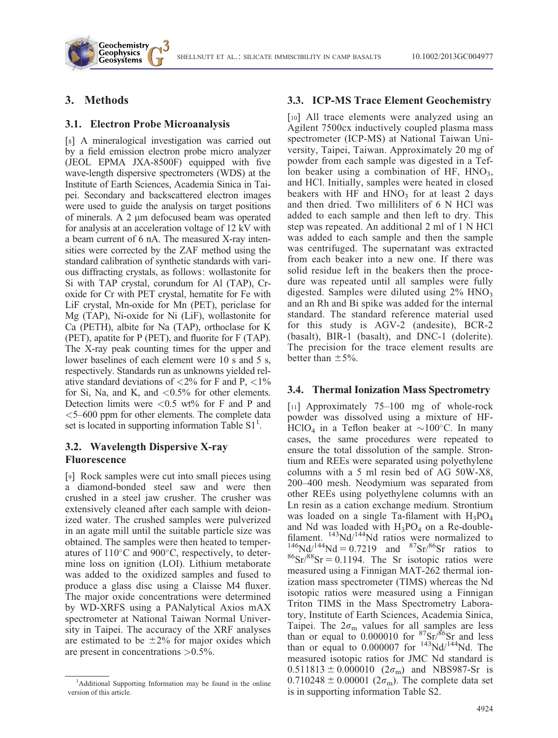## 3. Methods

Geochemistry **Geophysics Geosystems** 

#### 3.1. Electron Probe Microanalysis

[8] A mineralogical investigation was carried out by a field emission electron probe micro analyzer (JEOL EPMA JXA-8500F) equipped with five wave-length dispersive spectrometers (WDS) at the Institute of Earth Sciences, Academia Sinica in Taipei. Secondary and backscattered electron images were used to guide the analysis on target positions of minerals. A  $2 \mu m$  defocused beam was operated for analysis at an acceleration voltage of 12 kV with a beam current of 6 nA. The measured X-ray intensities were corrected by the ZAF method using the standard calibration of synthetic standards with various diffracting crystals, as follows: wollastonite for Si with TAP crystal, corundum for Al (TAP), Croxide for Cr with PET crystal, hematite for Fe with LiF crystal, Mn-oxide for Mn (PET), periclase for Mg (TAP), Ni-oxide for Ni (LiF), wollastonite for Ca (PETH), albite for Na (TAP), orthoclase for K (PET), apatite for P (PET), and fluorite for F (TAP). The X-ray peak counting times for the upper and lower baselines of each element were 10 s and 5 s, respectively. Standards run as unknowns yielded relative standard deviations of  $\langle 2\%$  for F and P,  $\langle 1\%$ for Si, Na, and K, and  $\langle 0.5\%$  for other elements. Detection limits were  $\langle 0.5 \text{ wt}\% \rangle$  for F and P and <5–600 ppm for other elements. The complete data set is located in supporting information Table  $S1<sup>1</sup>$ .

## 3.2. Wavelength Dispersive X-ray Fluorescence

[9] Rock samples were cut into small pieces using a diamond-bonded steel saw and were then crushed in a steel jaw crusher. The crusher was extensively cleaned after each sample with deionized water. The crushed samples were pulverized in an agate mill until the suitable particle size was obtained. The samples were then heated to temperatures of  $110^{\circ}$ C and  $900^{\circ}$ C, respectively, to determine loss on ignition (LOI). Lithium metaborate was added to the oxidized samples and fused to produce a glass disc using a Claisse M4 fluxer. The major oxide concentrations were determined by WD-XRFS using a PANalytical Axios mAX spectrometer at National Taiwan Normal University in Taipei. The accuracy of the XRF analyses are estimated to be  $\pm 2\%$  for major oxides which are present in concentrations >0.5%.

#### 3.3. ICP-MS Trace Element Geochemistry

[10] All trace elements were analyzed using an Agilent 7500cx inductively coupled plasma mass spectrometer (ICP-MS) at National Taiwan University, Taipei, Taiwan. Approximately 20 mg of powder from each sample was digested in a Teflon beaker using a combination of HF,  $HNO<sub>3</sub>$ , and HCl. Initially, samples were heated in closed beakers with HF and  $HNO<sub>3</sub>$  for at least 2 days and then dried. Two milliliters of 6 N HCl was added to each sample and then left to dry. This step was repeated. An additional 2 ml of 1 N HCl was added to each sample and then the sample was centrifuged. The supernatant was extracted from each beaker into a new one. If there was solid residue left in the beakers then the procedure was repeated until all samples were fully digested. Samples were diluted using  $2\%$  HNO<sub>3</sub> and an Rh and Bi spike was added for the internal standard. The standard reference material used for this study is AGV-2 (andesite), BCR-2 (basalt), BIR-1 (basalt), and DNC-1 (dolerite). The precision for the trace element results are better than  $\pm$ 5%.

#### 3.4. Thermal Ionization Mass Spectrometry

[11] Approximately 75–100 mg of whole-rock powder was dissolved using a mixture of HF-HClO<sub>4</sub> in a Teflon beaker at  $\sim$ 100°C. In many cases, the same procedures were repeated to ensure the total dissolution of the sample. Strontium and REEs were separated using polyethylene columns with a 5 ml resin bed of AG 50W-X8, 200–400 mesh. Neodymium was separated from other REEs using polyethylene columns with an Ln resin as a cation exchange medium. Strontium was loaded on a single Ta-filament with  $H_3PO_4$ and Nd was loaded with  $H_3PO_4$  on a Re-doublefilament.  $^{143}$ Nd/ $^{144}$ Nd ratios were normalized to  $^{146}Nd/^{144}Nd = 0.7219$  and  $^{87}Sr/^{86}Sr$  ratios to  ${}^{86}Sr/{}^{88}Sr = 0.1194$ . The Sr isotopic ratios were measured using a Finnigan MAT-262 thermal ionization mass spectrometer (TIMS) whereas the Nd isotopic ratios were measured using a Finnigan Triton TIMS in the Mass Spectrometry Laboratory, Institute of Earth Sciences, Academia Sinica, Taipei. The  $2\sigma_{\rm m}$  values for all samples are less than or equal to  $0.000010$  for  $87\text{Sr}/86\text{Sr}$  and less than or equal to  $0.000007$  for  $143$ Nd/ $144$ Nd. The measured isotopic ratios for JMC Nd standard is  $0.511813 \pm 0.000010$  ( $2\sigma_{\rm m}$ ) and NBS987-Sr is  $0.710248 \pm 0.00001$  ( $2\sigma_{\rm m}$ ). The complete data set is in supporting information Table S2.

<sup>&</sup>lt;sup>1</sup>Additional Supporting Information may be found in the online version of this article.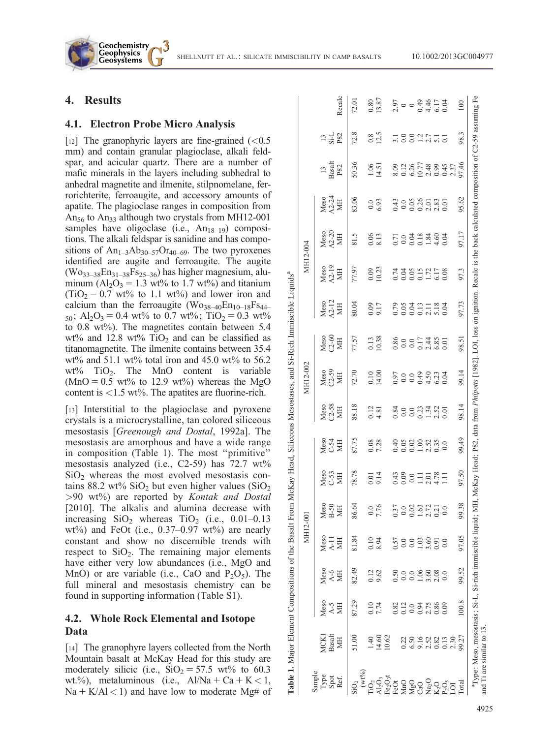SHELLNUTT ET AL.: SILICATE IMMISCIBILITY IN CAMP BASALTS 10.1002/2013GC004977

## 4. Results

Geochemistry **Geophysics Geosystems** 

#### 4.1. Electron Probe Micro Analysis

[12] The granophyric layers are fine-grained  $\left($  < 0.5 mm) and contain granular plagioclase, alkali feldspar, and acicular quartz. There are a number of mafic minerals in the layers including subhedral to anhedral magnetite and ilmenite, stilpnomelane, ferrorichterite, ferroaugite, and accessory amounts of apatite. The plagioclase ranges in composition from An<sub>56</sub> to An<sub>33</sub> although two crystals from MH12-001 samples have oligoclase (i.e.,  $An_{18-19}$ ) compositions. The alkali feldspar is sanidine and has compositions of  $An_{1-3}Ab_{30-57}Or_{40-69}$ . The two pyroxenes identified are augite and ferroaugite. The augite  $(Wo_{33-38}En_{31-38}Fs_{25-36})$  has higher magnesium, aluminum  $(A_2O_3 = 1.3 \text{ wt\%}$  to 1.7 wt%) and titanium  $(TiO<sub>2</sub> = 0.7 \text{ wt\%}$  to 1.1 wt%) and lower iron and calcium than the ferroaugite  $(Wo_{38-40}En_{10-18}Fs_{44-})$  $_{50}$ ; Al<sub>2</sub>O<sub>3</sub> = 0.4 wt% to 0.7 wt%; TiO<sub>2</sub> = 0.3 wt% to 0.8 wt%). The magnetites contain between 5.4 wt% and 12.8 wt%  $TiO<sub>2</sub>$  and can be classified as titanomagnetite. The ilmenite contains between 35.4 wt% and 51.1 wt% total iron and 45.0 wt% to 56.2 wt%  $TiO<sub>2</sub>$ . The MnO content is variable  $(MnO = 0.5 \text{ wt\%})$  to 12.9 wt<sup>%</sup>) whereas the MgO content is  $\langle 1.5 \text{ wt}\% \rangle$ . The apatites are fluorine-rich.

[13] Interstitial to the plagioclase and pyroxene crystals is a microcrystalline, tan colored siliceous mesostasis [Greenough and Dostal, 1992a]. The mesostasis are amorphous and have a wide range in composition (Table 1). The most ''primitive'' mesostasis analyzed (i.e., C2-59) has 72.7 wt%  $SiO<sub>2</sub>$  whereas the most evolved mesostasis contains 88.2 wt%  $SiO<sub>2</sub>$  but even higher values  $(SiO<sub>2</sub>)$  $>90$  wt%) are reported by Kontak and Dostal [2010]. The alkalis and alumina decrease with increasing  $SiO<sub>2</sub>$  whereas  $TiO<sub>2</sub>$  (i.e., 0.01–0.13) wt%) and FeOt (i.e.,  $0.37-0.97$  wt%) are nearly constant and show no discernible trends with respect to  $SiO<sub>2</sub>$ . The remaining major elements have either very low abundances (*i.e.*, MgO and MnO) or are variable (i.e., CaO and  $P_2O_5$ ). The full mineral and mesostasis chemistry can be found in supporting information (Table S1).

## 4.2. Whole Rock Elemental and Isotope Data

[14] The granophyre layers collected from the North Mountain basalt at McKay Head for this study are moderately silicic (i.e.,  $SiO_2 = 57.5$  wt% to 60.3 wt.%), metaluminous (i.e.,  $Al/Na + Ca + K < 1$ ,  $Na + K/AI < 1$ ) and have low to moderate Mg# of

| 77.57<br>$\frac{0.13}{10.38}$<br>$\begin{array}{l} \text{Meso} \\ \text{CO} \\ \text{MH} \end{array}$<br>Meso<br>C2-59<br>MH<br>72.70<br>$\frac{0.10}{14.00}$<br>50098533<br>0009853<br>Meso<br>C2-58<br>MH<br>88.18<br>$\frac{12}{4.81}$<br>830033300<br>000334000<br>87.75<br>Mese<br>C-54<br>MH<br>0.08<br>7.28<br>8<br>888883<br>99913<br>78.78<br>Meso<br>C-53<br>MH<br>9.14<br>300011871<br>0.01<br>Meso<br>$B-50$<br><b>NIH</b><br>86.64<br>7.76<br>0.37<br>0.02<br>$1.63$<br>$2.72$<br>$0.21$<br>0.0<br>$0.0\,$<br>81.84<br>Meso<br>0.10<br>8.94<br>0.57<br>3.60<br>$A-11$<br>NН<br>1.03<br>0.0<br>82.49<br>Meso<br>0.12<br>9.62<br>$A-6$<br>1.06<br>3.60<br>2.08<br>0.50<br>H<br>0.0<br>87.29<br>Meso<br>0.10<br>7.74<br>$A-5$<br>0.82<br>0.12<br>0.080<br>0.080<br>0.000<br>HIM<br>$0.0\,$<br><b>Basalt</b><br>MCK1<br>14.60<br>51.00<br>10.62<br>1.40<br>9.16<br>2.52<br>0.82<br>ЖH<br>0.22<br>6.50<br>$(wt\%)$<br>Sample<br>Type<br>Spot<br>Ref.<br>$\begin{array}{l} \mathrm{Al}_2\mathrm{O}_3 \\ \mathrm{Fe}_2\mathrm{O}_3\mathrm{t} \\ \mathrm{FeOt} \end{array}$<br>$\begin{array}{l} \mathtt{MnO} \\ \mathtt{MgO} \\ \mathtt{CaO} \\ \mathtt{Na_2O} \\ \mathtt{Na_2O} \end{array}$<br>SiO <sub>2</sub> |      |     | MH12-001 |  |     | MH12-002 |                                                                         | MH12-004                |                                                                        |                     |                                             |                        |                                                                                        |
|-------------------------------------------------------------------------------------------------------------------------------------------------------------------------------------------------------------------------------------------------------------------------------------------------------------------------------------------------------------------------------------------------------------------------------------------------------------------------------------------------------------------------------------------------------------------------------------------------------------------------------------------------------------------------------------------------------------------------------------------------------------------------------------------------------------------------------------------------------------------------------------------------------------------------------------------------------------------------------------------------------------------------------------------------------------------------------------------------------------------------------------------------------------------------------------------------------------------------|------|-----|----------|--|-----|----------|-------------------------------------------------------------------------|-------------------------|------------------------------------------------------------------------|---------------------|---------------------------------------------|------------------------|----------------------------------------------------------------------------------------|
|                                                                                                                                                                                                                                                                                                                                                                                                                                                                                                                                                                                                                                                                                                                                                                                                                                                                                                                                                                                                                                                                                                                                                                                                                         |      |     |          |  |     |          | $\begin{array}{c} \text{Meso} \\ \text{A2-12} \\ \text{MH} \end{array}$ | $A2-19$<br>MH<br>Meso   | $\begin{array}{l} \text{Meso} \\ \Delta 2-20 \\ \text{MH} \end{array}$ | Meso<br>A2-24<br>MH | $\frac{13}{\text{Basalt}}$<br>P82           | $\frac{13}{51}$<br>P82 | Recalc                                                                                 |
|                                                                                                                                                                                                                                                                                                                                                                                                                                                                                                                                                                                                                                                                                                                                                                                                                                                                                                                                                                                                                                                                                                                                                                                                                         |      |     |          |  |     |          | 80.04                                                                   | 77.97                   | 81.5                                                                   | 83.06               | 50.36                                       | 72.8                   | 72.01                                                                                  |
|                                                                                                                                                                                                                                                                                                                                                                                                                                                                                                                                                                                                                                                                                                                                                                                                                                                                                                                                                                                                                                                                                                                                                                                                                         |      |     |          |  |     |          |                                                                         | 0.09                    | 0.06                                                                   |                     |                                             |                        | 0.80                                                                                   |
|                                                                                                                                                                                                                                                                                                                                                                                                                                                                                                                                                                                                                                                                                                                                                                                                                                                                                                                                                                                                                                                                                                                                                                                                                         |      |     |          |  |     |          | $0.09$<br>9.17                                                          | 10.23                   | 8.13                                                                   | $0.0$<br>6.93       | $\frac{1.06}{14.51}$                        | $0.8$<br>12.5          | 13.87                                                                                  |
|                                                                                                                                                                                                                                                                                                                                                                                                                                                                                                                                                                                                                                                                                                                                                                                                                                                                                                                                                                                                                                                                                                                                                                                                                         |      |     |          |  |     |          |                                                                         |                         |                                                                        |                     |                                             |                        |                                                                                        |
|                                                                                                                                                                                                                                                                                                                                                                                                                                                                                                                                                                                                                                                                                                                                                                                                                                                                                                                                                                                                                                                                                                                                                                                                                         |      |     |          |  |     |          |                                                                         | 448912178<br>0000117000 | 0<br>000014<br>200014                                                  |                     | $8.1877$<br>$8.1877$<br>$8.9457$<br>$8.457$ | 1382515<br>1991515     | 0<br>0<br>0<br>0<br>0<br>0<br>0<br>0<br>0<br>0<br>0<br>0<br>0<br>0<br>0<br>0<br>0<br>0 |
|                                                                                                                                                                                                                                                                                                                                                                                                                                                                                                                                                                                                                                                                                                                                                                                                                                                                                                                                                                                                                                                                                                                                                                                                                         |      |     |          |  |     |          |                                                                         |                         |                                                                        |                     |                                             |                        |                                                                                        |
|                                                                                                                                                                                                                                                                                                                                                                                                                                                                                                                                                                                                                                                                                                                                                                                                                                                                                                                                                                                                                                                                                                                                                                                                                         |      |     |          |  |     |          |                                                                         |                         |                                                                        |                     |                                             |                        |                                                                                        |
|                                                                                                                                                                                                                                                                                                                                                                                                                                                                                                                                                                                                                                                                                                                                                                                                                                                                                                                                                                                                                                                                                                                                                                                                                         |      |     |          |  |     |          |                                                                         |                         |                                                                        |                     |                                             |                        |                                                                                        |
|                                                                                                                                                                                                                                                                                                                                                                                                                                                                                                                                                                                                                                                                                                                                                                                                                                                                                                                                                                                                                                                                                                                                                                                                                         |      |     |          |  |     |          |                                                                         |                         |                                                                        |                     |                                             |                        |                                                                                        |
|                                                                                                                                                                                                                                                                                                                                                                                                                                                                                                                                                                                                                                                                                                                                                                                                                                                                                                                                                                                                                                                                                                                                                                                                                         | 0.13 | 0.0 | 0.0      |  | 0.0 |          |                                                                         |                         | 0.04                                                                   |                     |                                             |                        |                                                                                        |
| 2.30<br>$P_2O_5$<br>LOI                                                                                                                                                                                                                                                                                                                                                                                                                                                                                                                                                                                                                                                                                                                                                                                                                                                                                                                                                                                                                                                                                                                                                                                                 |      |     |          |  |     |          |                                                                         |                         |                                                                        |                     |                                             |                        |                                                                                        |
| 98.51<br>99.14<br>98.14<br>99.49<br>97.50<br>99.38<br>97.05<br>99.52<br>100.8<br>99.27<br>Total                                                                                                                                                                                                                                                                                                                                                                                                                                                                                                                                                                                                                                                                                                                                                                                                                                                                                                                                                                                                                                                                                                                         |      |     |          |  |     |          | 97.73                                                                   | 97.3                    | 97.17                                                                  | 95.62               | 97.46                                       | 98.3                   | 100                                                                                    |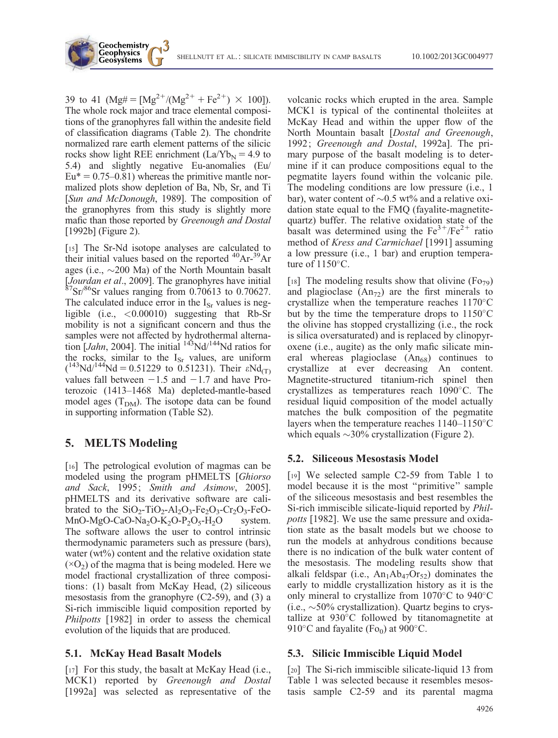39 to 41 (Mg# =  $[Mg^{2+}/(Mg^{2+} + Fe^{2+}) \times 100]$ ). The whole rock major and trace elemental compositions of the granophyres fall within the andesite field of classification diagrams (Table 2). The chondrite normalized rare earth element patterns of the silicic rocks show light REE enrichment  $(La/Yb_N = 4.9$  to 5.4) and slightly negative Eu-anomalies (Eu/  $Eu^* = 0.75{\text -}0.81$  whereas the primitive mantle normalized plots show depletion of Ba, Nb, Sr, and Ti [Sun and McDonough, 1989]. The composition of the granophyres from this study is slightly more mafic than those reported by Greenough and Dostal [1992b] (Figure 2).

Geochemistry **Geophysics Geosystems** 

[15] The Sr-Nd isotope analyses are calculated to their initial values based on the reported <sup>40</sup>Ar-<sup>39</sup>Ar ages (i.e.,  $\sim$ 200 Ma) of the North Mountain basalt [Jourdan et al., 2009]. The granophyres have initial  ${}^{87}Sr/{}^{86}Sr$  values ranging from 0.70613 to 0.70627. The calculated induce error in the  $I_{\text{Sr}}$  values is negligible (i.e., <0.00010) suggesting that Rb-Sr mobility is not a significant concern and thus the samples were not affected by hydrothermal alternation  $[Jahn, 2004]$ . The initial  $143$ Nd/ $144$ Nd ratios for the rocks, similar to the  $I_{Sr}$  values, are uniform  $(143 \text{Nd}/144 \text{Nd} = 0.51229 \text{ to } 0.51231)$ . Their  $\epsilon \text{Nd}_{(T)}$ values fall between  $-1.5$  and  $-1.7$  and have Proterozoic (1413–1468 Ma) depleted-mantle-based model ages  $(T<sub>DM</sub>)$ . The isotope data can be found in supporting information (Table S2).

## 5. MELTS Modeling

[16] The petrological evolution of magmas can be modeled using the program pHMELTS [Ghiorso and Sack, 1995; Smith and Asimow, 2005]. pHMELTS and its derivative software are calibrated to the  $SiO_2-TiO_2-Al_2O_3-Fe_2O_3-Cr_2O_3-FeO-$ MnO-MgO-CaO-Na<sub>2</sub>O-K<sub>2</sub>O-P<sub>2</sub>O<sub>5</sub>-H<sub>2</sub>O system. The software allows the user to control intrinsic thermodynamic parameters such as pressure (bars), water  $(wt\%)$  content and the relative oxidation state  $(\times O_2)$  of the magma that is being modeled. Here we model fractional crystallization of three compositions: (1) basalt from McKay Head, (2) siliceous mesostasis from the granophyre (C2-59), and (3) a Si-rich immiscible liquid composition reported by Philpotts [1982] in order to assess the chemical evolution of the liquids that are produced.

## 5.1. McKay Head Basalt Models

[17] For this study, the basalt at McKay Head (i.e., MCK1) reported by Greenough and Dostal [1992a] was selected as representative of the

volcanic rocks which erupted in the area. Sample MCK1 is typical of the continental tholeiites at McKay Head and within the upper flow of the North Mountain basalt [Dostal and Greenough, 1992; Greenough and Dostal, 1992a]. The primary purpose of the basalt modeling is to determine if it can produce compositions equal to the pegmatite layers found within the volcanic pile. The modeling conditions are low pressure (i.e., 1 bar), water content of  $\sim 0.5$  wt% and a relative oxidation state equal to the FMQ (fayalite-magnetitequartz) buffer. The relative oxidation state of the basalt was determined using the  $Fe^{3+}/Fe^{2+}$  ratio method of Kress and Carmichael [1991] assuming a low pressure (i.e., 1 bar) and eruption temperature of  $1150^{\circ}$ C.

[18] The modeling results show that olivine  $(Fo_{79})$ and plagioclase  $(An_{72})$  are the first minerals to crystallize when the temperature reaches  $1170^{\circ}$ C but by the time the temperature drops to  $1150^{\circ}$ C the olivine has stopped crystallizing (i.e., the rock is silica oversaturated) and is replaced by clinopyroxene (i.e., augite) as the only mafic silicate mineral whereas plagioclase  $(An_{68})$  continues to crystallize at ever decreasing An content. Magnetite-structured titanium-rich spinel then crystallizes as temperatures reach  $1090^{\circ}$ C. The residual liquid composition of the model actually matches the bulk composition of the pegmatite layers when the temperature reaches  $1140-1150^{\circ}$ C which equals  $\sim$ 30% crystallization (Figure 2).

## 5.2. Siliceous Mesostasis Model

[19] We selected sample C2-59 from Table 1 to model because it is the most ''primitive'' sample of the siliceous mesostasis and best resembles the Si-rich immiscible silicate-liquid reported by Philpotts [1982]. We use the same pressure and oxidation state as the basalt models but we choose to run the models at anhydrous conditions because there is no indication of the bulk water content of the mesostasis. The modeling results show that alkali feldspar (i.e.,  $An_1Ab_{47}Or_{52}$ ) dominates the early to middle crystallization history as it is the only mineral to crystallize from  $1070^{\circ}$ C to  $940^{\circ}$ C  $(i.e., ~50\%$  crystallization). Quartz begins to crystallize at  $930^{\circ}$ C followed by titanomagnetite at 910 $\rm ^{\circ}C$  and fayalite (Fo<sub>0</sub>) at 900 $\rm ^{\circ}C$ .

## 5.3. Silicic Immiscible Liquid Model

[20] The Si-rich immiscible silicate-liquid 13 from Table 1 was selected because it resembles mesostasis sample C2-59 and its parental magma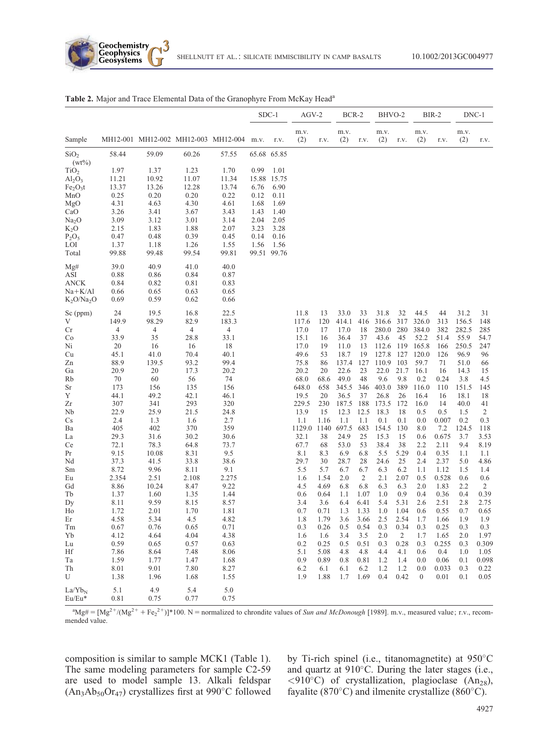

| m.v.<br>m.v.<br>m.v.<br>m.v.<br>m.v.<br>MH12-001 MH12-002 MH12-003 MH12-004<br>(2)<br>(2)<br>(2)<br>(2)<br>(2)<br>Sample<br>r.v.<br>m.v.<br>r.v.<br>r.v.<br>r.v.<br>r.v.<br>r.v.<br>58.44<br>59.09<br>60.26<br>57.55<br>65.68 65.85<br>SiO <sub>2</sub><br>$(wt\%)$<br>1.97<br>0.99<br>1.37<br>1.23<br>1.70<br>1.01<br>TiO <sub>2</sub><br>10.92<br>15.88 15.75<br>11.21<br>11.07<br>11.34<br>$\text{Al}_2\text{O}_3$<br>13.37<br>13.26<br>12.28<br>6.76<br>13.74<br>6.90<br>Fe <sub>2</sub> O <sub>3</sub> t<br>0.25<br>0.20<br>0.20<br>MnO<br>0.22<br>0.12<br>0.11<br>4.63<br>1.68<br>4.31<br>4.30<br>4.61<br>1.69<br>MgO<br>3.26<br>3.41<br>3.67<br>3.43<br>1.43<br>CaO<br>1.40<br>3.09<br>3.12<br>3.14<br>3.01<br>2.04<br>2.05<br>Na <sub>2</sub> O<br>1.83<br>2.15<br>1.88<br>2.07<br>3.23<br>3.28<br>$K_2O$<br>0.48<br>0.39<br>0.47<br>0.45<br>0.14<br>0.16<br>$P_2O_5$<br>LOI<br>1.37<br>1.18<br>1.26<br>1.55<br>1.56<br>1.56<br>99.88<br>99.48<br>99.54<br>99.81<br>99.51 99.76<br>Total<br>39.0<br>40.9<br>41.0<br>40.0<br>Mg#<br>0.88<br>0.86<br>0.84<br>0.87<br>ASI<br>0.84<br>ANCK<br>0.82<br>0.81<br>0.83<br>$Na + K/A1$<br>0.65<br>0.63<br>0.65<br>0.66<br>0.59<br>0.62<br>$K_2O/Na_2O$<br>0.69<br>0.66<br>22.5<br>24<br>19.5<br>16.8<br>11.8<br>33.0<br>31.8<br>32<br>44.5<br>31.2<br>13<br>33<br>44<br>31<br>Sc (ppm)<br>149.9<br>98.29<br>82.9<br>317<br>156.5<br>V<br>183.3<br>117.6<br>120<br>414.1<br>416<br>316.6<br>326.0<br>313<br>148<br>4<br>$\overline{4}$<br>$\overline{4}$<br>$\overline{4}$<br>17.0<br>382<br>282.5<br>18<br>280.0<br>280<br>384.0<br>285<br>Cr<br>17<br>17.0<br>33.9<br>35<br>28.8<br>33.1<br>15.1<br>52.2<br>51.4<br>55.9<br>36.4<br>37<br>43.6<br>45<br>54.7<br>Co<br>16<br>20<br>16<br>18<br>17.0<br>165.8<br>250.5<br>16<br>11.0<br>13<br>112.6<br>119<br>166<br>247<br>Ni<br>19<br>45.1<br>49.6<br>127.8<br>41.0<br>70.4<br>40.1<br>53<br>18.7<br>19<br>127<br>120.0<br>126<br>96.9<br>96<br>Cu<br>88.9<br>93.2<br>75.8<br>71<br>139.5<br>99.4<br>86<br>137.4<br>127<br>110.9<br>103<br>59.7<br>51.0<br>Zn<br>66<br>20.9<br>20.2<br>22.6<br>22.0<br>21.7<br>16.1<br>20<br>17.3<br>20.2<br>20<br>23<br>14.3<br>15<br>Ga<br>16<br>70<br>68.0<br>9.6<br>9.8<br>60<br>56<br>74<br>68.6<br>49.0<br>48<br>0.2<br>0.24<br>3.8<br>Rb<br>4.5<br>173<br>403.0<br>389<br>116.0<br>156<br>135<br>156<br>648.0<br>658<br>345.5<br>346<br>110<br>151.5<br>145<br>Sr<br>Y<br>49.2<br>42.1<br>19.5<br>37<br>26.8<br>26<br>44.1<br>46.1<br>20<br>36.5<br>16.4<br>16<br>18.1<br>18<br>307<br>293<br>320<br>229.5<br>230<br>187.5 188<br>Zr<br>341<br>173.5<br>172<br>16.0<br>14<br>40.0<br>41<br>22.9<br>25.9<br>13.9<br>12.5<br>18.3<br>21.5<br>24.8<br>15<br>12.3<br>18<br>0.5<br>0.5<br>1.5<br>2<br>Nb<br>1.1<br>1.1<br>0.1<br>0.1<br>0.007<br>0.2<br>2.4<br>1.3<br>2.7<br>1.16<br>1.1<br>0.0<br>0.3<br>Cs<br>1.6<br>405<br>402<br>359<br>1129.0<br>1140<br>697.5<br>683<br>7.2<br>124.5<br>370<br>154.5<br>130<br>8.0<br>118<br>Ba<br>29.3<br>32.1<br>15.3<br>0.675<br>31.6<br>30.2<br>30.6<br>38<br>24.9<br>25<br>15<br>3.7<br>3.53<br>La<br>0.6<br>72.1<br>67.7<br>9.4<br>78.3<br>64.8<br>73.7<br>68<br>53.0<br>53<br>38.4<br>38<br>2.2<br>2.11<br>8.19<br>Ce<br>10.08<br>9.5<br>8.1<br>9.15<br>8.31<br>8.3<br>6.9<br>6.8<br>5.5<br>5.29<br>0.4<br>0.35<br>1.1<br>1.1<br>Pr<br>37.3<br>41.5<br>38.6<br>29.7<br>2.37<br>5.0<br>33.8<br>30<br>28.7<br>28<br>25<br>2.4<br>4.86<br>Nd<br>24.6<br>8.72<br>5.7<br>Sm<br>9.96<br>8.11<br>9.1<br>5.5<br>6.7<br>6.7<br>6.3<br>6.2<br>1.1<br>1.12<br>1.5<br>1.4<br>2.354<br>2.51<br>2.108<br>2.275<br>1.54<br>2.0<br>$\overline{c}$<br>0.528<br>1.6<br>2.1<br>2.07<br>0.5<br>0.6<br>0.6<br>Eu<br>8.86<br>6.8<br>2.2<br>$\sqrt{2}$<br>10.24<br>8.47<br>9.22<br>4.5<br>4.69<br>6.8<br>6.3<br>6.3<br>2.0<br>1.83<br>Gd<br>1.60<br>Tb<br>1.37<br>1.35<br>1.44<br>1.1<br>1.07<br>1.0<br>0.9<br>0.4<br>0.36<br>0.4<br>0.39<br>0.6<br>0.64<br>5.4<br>2.51<br>2.8<br>8.11<br>9.59<br>8.15<br>8.57<br>3.4<br>3.6<br>6.4<br>6.41<br>5.31<br>2.6<br>2.75<br>Dy<br>1.72<br>2.01<br>1.70<br>1.81<br>0.7<br>0.71<br>1.3<br>1.33<br>1.0<br>1.04<br>0.6<br>0.55<br>0.7<br>0.65<br>Ho<br>Er<br>4.58<br>5.34<br>4.5<br>4.82<br>1.8<br>1.79<br>3.6<br>3.66<br>2.5<br>2.54<br>1.7<br>1.9<br>1.9<br>1.66<br>0.76<br>0.65<br>0.26<br>0.54<br>0.3<br>0.34<br>0.3<br>0.25<br>0.3<br>Tm<br>0.67<br>0.71<br>0.3<br>0.5<br>0.3<br>4.12<br>4.64<br>4.04<br>4.38<br>1.6<br>3.5<br>2.0<br>$\sqrt{2}$<br>2.0<br>1.97<br>Yb<br>1.6<br>3.4<br>1.7<br>1.65<br>0.59<br>0.65<br>0.57<br>0.2<br>0.5<br>0.51<br>0.28<br>0.255<br>0.3<br>0.309<br>${\rm Lu}$<br>0.63<br>0.25<br>0.3<br>0.3<br>7.86<br>8.06<br>5.1<br>Hf<br>8.64<br>7.48<br>5.08<br>4.8<br>4.8<br>4.4<br>4.1<br>0.6<br>0.4<br>1.0<br>1.05<br>1.59<br>1.77<br>1.68<br>0.89<br>1.4<br>0.06<br>0.098<br>Ta<br>1.47<br>0.9<br>0.8<br>0.81<br>1.2<br>0.0<br>0.1<br>8.01<br>9.01<br>7.80<br>8.27<br>Th<br>6.2<br>6.1<br>6.1<br>6.2<br>1.2<br>1.2<br>0.0<br>0.033<br>0.3<br>0.22<br>1.38<br>1.88<br>1.7<br>1.69<br>0.4<br>0.42<br>$0.01\,$<br>0.05<br>U<br>1.96<br>1.68<br>1.55<br>1.9<br>$\boldsymbol{0}$<br>0.1<br>5.1<br>4.9<br>5.4<br>5.0<br>$La/Yb_N$ |        |      |      |      |      | SDC-1 | $AGV-2$ | BCR-2 | BHVO-2 |  | BIR-2 | DNC-1 |
|----------------------------------------------------------------------------------------------------------------------------------------------------------------------------------------------------------------------------------------------------------------------------------------------------------------------------------------------------------------------------------------------------------------------------------------------------------------------------------------------------------------------------------------------------------------------------------------------------------------------------------------------------------------------------------------------------------------------------------------------------------------------------------------------------------------------------------------------------------------------------------------------------------------------------------------------------------------------------------------------------------------------------------------------------------------------------------------------------------------------------------------------------------------------------------------------------------------------------------------------------------------------------------------------------------------------------------------------------------------------------------------------------------------------------------------------------------------------------------------------------------------------------------------------------------------------------------------------------------------------------------------------------------------------------------------------------------------------------------------------------------------------------------------------------------------------------------------------------------------------------------------------------------------------------------------------------------------------------------------------------------------------------------------------------------------------------------------------------------------------------------------------------------------------------------------------------------------------------------------------------------------------------------------------------------------------------------------------------------------------------------------------------------------------------------------------------------------------------------------------------------------------------------------------------------------------------------------------------------------------------------------------------------------------------------------------------------------------------------------------------------------------------------------------------------------------------------------------------------------------------------------------------------------------------------------------------------------------------------------------------------------------------------------------------------------------------------------------------------------------------------------------------------------------------------------------------------------------------------------------------------------------------------------------------------------------------------------------------------------------------------------------------------------------------------------------------------------------------------------------------------------------------------------------------------------------------------------------------------------------------------------------------------------------------------------------------------------------------------------------------------------------------------------------------------------------------------------------------------------------------------------------------------------------------------------------------------------------------------------------------------------------------------------------------------------------------------------------------------------------------------------------------------------------------------------------------------------------------------------------------------------------------------------------------------------------------------------------------------------------------------------------------------------------------------------------------------------------------------------------------------------------------------------------------------------------------------------------------------------------------------------------------------------------------------------------------------------------------------------------------------------------------------------------------------------------------------------------------------------------------------------------------------------------------------------------------------------------------------------------------------------------------------------------------------------------------------------------------------------------------------------------------------|--------|------|------|------|------|-------|---------|-------|--------|--|-------|-------|
|                                                                                                                                                                                                                                                                                                                                                                                                                                                                                                                                                                                                                                                                                                                                                                                                                                                                                                                                                                                                                                                                                                                                                                                                                                                                                                                                                                                                                                                                                                                                                                                                                                                                                                                                                                                                                                                                                                                                                                                                                                                                                                                                                                                                                                                                                                                                                                                                                                                                                                                                                                                                                                                                                                                                                                                                                                                                                                                                                                                                                                                                                                                                                                                                                                                                                                                                                                                                                                                                                                                                                                                                                                                                                                                                                                                                                                                                                                                                                                                                                                                                                                                                                                                                                                                                                                                                                                                                                                                                                                                                                                                                                                                                                                                                                                                                                                                                                                                                                                                                                                                                                                                                                          |        |      |      |      |      |       |         |       |        |  |       |       |
|                                                                                                                                                                                                                                                                                                                                                                                                                                                                                                                                                                                                                                                                                                                                                                                                                                                                                                                                                                                                                                                                                                                                                                                                                                                                                                                                                                                                                                                                                                                                                                                                                                                                                                                                                                                                                                                                                                                                                                                                                                                                                                                                                                                                                                                                                                                                                                                                                                                                                                                                                                                                                                                                                                                                                                                                                                                                                                                                                                                                                                                                                                                                                                                                                                                                                                                                                                                                                                                                                                                                                                                                                                                                                                                                                                                                                                                                                                                                                                                                                                                                                                                                                                                                                                                                                                                                                                                                                                                                                                                                                                                                                                                                                                                                                                                                                                                                                                                                                                                                                                                                                                                                                          |        |      |      |      |      |       |         |       |        |  |       |       |
|                                                                                                                                                                                                                                                                                                                                                                                                                                                                                                                                                                                                                                                                                                                                                                                                                                                                                                                                                                                                                                                                                                                                                                                                                                                                                                                                                                                                                                                                                                                                                                                                                                                                                                                                                                                                                                                                                                                                                                                                                                                                                                                                                                                                                                                                                                                                                                                                                                                                                                                                                                                                                                                                                                                                                                                                                                                                                                                                                                                                                                                                                                                                                                                                                                                                                                                                                                                                                                                                                                                                                                                                                                                                                                                                                                                                                                                                                                                                                                                                                                                                                                                                                                                                                                                                                                                                                                                                                                                                                                                                                                                                                                                                                                                                                                                                                                                                                                                                                                                                                                                                                                                                                          |        |      |      |      |      |       |         |       |        |  |       |       |
|                                                                                                                                                                                                                                                                                                                                                                                                                                                                                                                                                                                                                                                                                                                                                                                                                                                                                                                                                                                                                                                                                                                                                                                                                                                                                                                                                                                                                                                                                                                                                                                                                                                                                                                                                                                                                                                                                                                                                                                                                                                                                                                                                                                                                                                                                                                                                                                                                                                                                                                                                                                                                                                                                                                                                                                                                                                                                                                                                                                                                                                                                                                                                                                                                                                                                                                                                                                                                                                                                                                                                                                                                                                                                                                                                                                                                                                                                                                                                                                                                                                                                                                                                                                                                                                                                                                                                                                                                                                                                                                                                                                                                                                                                                                                                                                                                                                                                                                                                                                                                                                                                                                                                          |        |      |      |      |      |       |         |       |        |  |       |       |
|                                                                                                                                                                                                                                                                                                                                                                                                                                                                                                                                                                                                                                                                                                                                                                                                                                                                                                                                                                                                                                                                                                                                                                                                                                                                                                                                                                                                                                                                                                                                                                                                                                                                                                                                                                                                                                                                                                                                                                                                                                                                                                                                                                                                                                                                                                                                                                                                                                                                                                                                                                                                                                                                                                                                                                                                                                                                                                                                                                                                                                                                                                                                                                                                                                                                                                                                                                                                                                                                                                                                                                                                                                                                                                                                                                                                                                                                                                                                                                                                                                                                                                                                                                                                                                                                                                                                                                                                                                                                                                                                                                                                                                                                                                                                                                                                                                                                                                                                                                                                                                                                                                                                                          |        |      |      |      |      |       |         |       |        |  |       |       |
|                                                                                                                                                                                                                                                                                                                                                                                                                                                                                                                                                                                                                                                                                                                                                                                                                                                                                                                                                                                                                                                                                                                                                                                                                                                                                                                                                                                                                                                                                                                                                                                                                                                                                                                                                                                                                                                                                                                                                                                                                                                                                                                                                                                                                                                                                                                                                                                                                                                                                                                                                                                                                                                                                                                                                                                                                                                                                                                                                                                                                                                                                                                                                                                                                                                                                                                                                                                                                                                                                                                                                                                                                                                                                                                                                                                                                                                                                                                                                                                                                                                                                                                                                                                                                                                                                                                                                                                                                                                                                                                                                                                                                                                                                                                                                                                                                                                                                                                                                                                                                                                                                                                                                          |        |      |      |      |      |       |         |       |        |  |       |       |
|                                                                                                                                                                                                                                                                                                                                                                                                                                                                                                                                                                                                                                                                                                                                                                                                                                                                                                                                                                                                                                                                                                                                                                                                                                                                                                                                                                                                                                                                                                                                                                                                                                                                                                                                                                                                                                                                                                                                                                                                                                                                                                                                                                                                                                                                                                                                                                                                                                                                                                                                                                                                                                                                                                                                                                                                                                                                                                                                                                                                                                                                                                                                                                                                                                                                                                                                                                                                                                                                                                                                                                                                                                                                                                                                                                                                                                                                                                                                                                                                                                                                                                                                                                                                                                                                                                                                                                                                                                                                                                                                                                                                                                                                                                                                                                                                                                                                                                                                                                                                                                                                                                                                                          |        |      |      |      |      |       |         |       |        |  |       |       |
|                                                                                                                                                                                                                                                                                                                                                                                                                                                                                                                                                                                                                                                                                                                                                                                                                                                                                                                                                                                                                                                                                                                                                                                                                                                                                                                                                                                                                                                                                                                                                                                                                                                                                                                                                                                                                                                                                                                                                                                                                                                                                                                                                                                                                                                                                                                                                                                                                                                                                                                                                                                                                                                                                                                                                                                                                                                                                                                                                                                                                                                                                                                                                                                                                                                                                                                                                                                                                                                                                                                                                                                                                                                                                                                                                                                                                                                                                                                                                                                                                                                                                                                                                                                                                                                                                                                                                                                                                                                                                                                                                                                                                                                                                                                                                                                                                                                                                                                                                                                                                                                                                                                                                          |        |      |      |      |      |       |         |       |        |  |       |       |
|                                                                                                                                                                                                                                                                                                                                                                                                                                                                                                                                                                                                                                                                                                                                                                                                                                                                                                                                                                                                                                                                                                                                                                                                                                                                                                                                                                                                                                                                                                                                                                                                                                                                                                                                                                                                                                                                                                                                                                                                                                                                                                                                                                                                                                                                                                                                                                                                                                                                                                                                                                                                                                                                                                                                                                                                                                                                                                                                                                                                                                                                                                                                                                                                                                                                                                                                                                                                                                                                                                                                                                                                                                                                                                                                                                                                                                                                                                                                                                                                                                                                                                                                                                                                                                                                                                                                                                                                                                                                                                                                                                                                                                                                                                                                                                                                                                                                                                                                                                                                                                                                                                                                                          |        |      |      |      |      |       |         |       |        |  |       |       |
|                                                                                                                                                                                                                                                                                                                                                                                                                                                                                                                                                                                                                                                                                                                                                                                                                                                                                                                                                                                                                                                                                                                                                                                                                                                                                                                                                                                                                                                                                                                                                                                                                                                                                                                                                                                                                                                                                                                                                                                                                                                                                                                                                                                                                                                                                                                                                                                                                                                                                                                                                                                                                                                                                                                                                                                                                                                                                                                                                                                                                                                                                                                                                                                                                                                                                                                                                                                                                                                                                                                                                                                                                                                                                                                                                                                                                                                                                                                                                                                                                                                                                                                                                                                                                                                                                                                                                                                                                                                                                                                                                                                                                                                                                                                                                                                                                                                                                                                                                                                                                                                                                                                                                          |        |      |      |      |      |       |         |       |        |  |       |       |
|                                                                                                                                                                                                                                                                                                                                                                                                                                                                                                                                                                                                                                                                                                                                                                                                                                                                                                                                                                                                                                                                                                                                                                                                                                                                                                                                                                                                                                                                                                                                                                                                                                                                                                                                                                                                                                                                                                                                                                                                                                                                                                                                                                                                                                                                                                                                                                                                                                                                                                                                                                                                                                                                                                                                                                                                                                                                                                                                                                                                                                                                                                                                                                                                                                                                                                                                                                                                                                                                                                                                                                                                                                                                                                                                                                                                                                                                                                                                                                                                                                                                                                                                                                                                                                                                                                                                                                                                                                                                                                                                                                                                                                                                                                                                                                                                                                                                                                                                                                                                                                                                                                                                                          |        |      |      |      |      |       |         |       |        |  |       |       |
|                                                                                                                                                                                                                                                                                                                                                                                                                                                                                                                                                                                                                                                                                                                                                                                                                                                                                                                                                                                                                                                                                                                                                                                                                                                                                                                                                                                                                                                                                                                                                                                                                                                                                                                                                                                                                                                                                                                                                                                                                                                                                                                                                                                                                                                                                                                                                                                                                                                                                                                                                                                                                                                                                                                                                                                                                                                                                                                                                                                                                                                                                                                                                                                                                                                                                                                                                                                                                                                                                                                                                                                                                                                                                                                                                                                                                                                                                                                                                                                                                                                                                                                                                                                                                                                                                                                                                                                                                                                                                                                                                                                                                                                                                                                                                                                                                                                                                                                                                                                                                                                                                                                                                          |        |      |      |      |      |       |         |       |        |  |       |       |
|                                                                                                                                                                                                                                                                                                                                                                                                                                                                                                                                                                                                                                                                                                                                                                                                                                                                                                                                                                                                                                                                                                                                                                                                                                                                                                                                                                                                                                                                                                                                                                                                                                                                                                                                                                                                                                                                                                                                                                                                                                                                                                                                                                                                                                                                                                                                                                                                                                                                                                                                                                                                                                                                                                                                                                                                                                                                                                                                                                                                                                                                                                                                                                                                                                                                                                                                                                                                                                                                                                                                                                                                                                                                                                                                                                                                                                                                                                                                                                                                                                                                                                                                                                                                                                                                                                                                                                                                                                                                                                                                                                                                                                                                                                                                                                                                                                                                                                                                                                                                                                                                                                                                                          |        |      |      |      |      |       |         |       |        |  |       |       |
|                                                                                                                                                                                                                                                                                                                                                                                                                                                                                                                                                                                                                                                                                                                                                                                                                                                                                                                                                                                                                                                                                                                                                                                                                                                                                                                                                                                                                                                                                                                                                                                                                                                                                                                                                                                                                                                                                                                                                                                                                                                                                                                                                                                                                                                                                                                                                                                                                                                                                                                                                                                                                                                                                                                                                                                                                                                                                                                                                                                                                                                                                                                                                                                                                                                                                                                                                                                                                                                                                                                                                                                                                                                                                                                                                                                                                                                                                                                                                                                                                                                                                                                                                                                                                                                                                                                                                                                                                                                                                                                                                                                                                                                                                                                                                                                                                                                                                                                                                                                                                                                                                                                                                          |        |      |      |      |      |       |         |       |        |  |       |       |
|                                                                                                                                                                                                                                                                                                                                                                                                                                                                                                                                                                                                                                                                                                                                                                                                                                                                                                                                                                                                                                                                                                                                                                                                                                                                                                                                                                                                                                                                                                                                                                                                                                                                                                                                                                                                                                                                                                                                                                                                                                                                                                                                                                                                                                                                                                                                                                                                                                                                                                                                                                                                                                                                                                                                                                                                                                                                                                                                                                                                                                                                                                                                                                                                                                                                                                                                                                                                                                                                                                                                                                                                                                                                                                                                                                                                                                                                                                                                                                                                                                                                                                                                                                                                                                                                                                                                                                                                                                                                                                                                                                                                                                                                                                                                                                                                                                                                                                                                                                                                                                                                                                                                                          |        |      |      |      |      |       |         |       |        |  |       |       |
|                                                                                                                                                                                                                                                                                                                                                                                                                                                                                                                                                                                                                                                                                                                                                                                                                                                                                                                                                                                                                                                                                                                                                                                                                                                                                                                                                                                                                                                                                                                                                                                                                                                                                                                                                                                                                                                                                                                                                                                                                                                                                                                                                                                                                                                                                                                                                                                                                                                                                                                                                                                                                                                                                                                                                                                                                                                                                                                                                                                                                                                                                                                                                                                                                                                                                                                                                                                                                                                                                                                                                                                                                                                                                                                                                                                                                                                                                                                                                                                                                                                                                                                                                                                                                                                                                                                                                                                                                                                                                                                                                                                                                                                                                                                                                                                                                                                                                                                                                                                                                                                                                                                                                          |        |      |      |      |      |       |         |       |        |  |       |       |
|                                                                                                                                                                                                                                                                                                                                                                                                                                                                                                                                                                                                                                                                                                                                                                                                                                                                                                                                                                                                                                                                                                                                                                                                                                                                                                                                                                                                                                                                                                                                                                                                                                                                                                                                                                                                                                                                                                                                                                                                                                                                                                                                                                                                                                                                                                                                                                                                                                                                                                                                                                                                                                                                                                                                                                                                                                                                                                                                                                                                                                                                                                                                                                                                                                                                                                                                                                                                                                                                                                                                                                                                                                                                                                                                                                                                                                                                                                                                                                                                                                                                                                                                                                                                                                                                                                                                                                                                                                                                                                                                                                                                                                                                                                                                                                                                                                                                                                                                                                                                                                                                                                                                                          |        |      |      |      |      |       |         |       |        |  |       |       |
|                                                                                                                                                                                                                                                                                                                                                                                                                                                                                                                                                                                                                                                                                                                                                                                                                                                                                                                                                                                                                                                                                                                                                                                                                                                                                                                                                                                                                                                                                                                                                                                                                                                                                                                                                                                                                                                                                                                                                                                                                                                                                                                                                                                                                                                                                                                                                                                                                                                                                                                                                                                                                                                                                                                                                                                                                                                                                                                                                                                                                                                                                                                                                                                                                                                                                                                                                                                                                                                                                                                                                                                                                                                                                                                                                                                                                                                                                                                                                                                                                                                                                                                                                                                                                                                                                                                                                                                                                                                                                                                                                                                                                                                                                                                                                                                                                                                                                                                                                                                                                                                                                                                                                          |        |      |      |      |      |       |         |       |        |  |       |       |
|                                                                                                                                                                                                                                                                                                                                                                                                                                                                                                                                                                                                                                                                                                                                                                                                                                                                                                                                                                                                                                                                                                                                                                                                                                                                                                                                                                                                                                                                                                                                                                                                                                                                                                                                                                                                                                                                                                                                                                                                                                                                                                                                                                                                                                                                                                                                                                                                                                                                                                                                                                                                                                                                                                                                                                                                                                                                                                                                                                                                                                                                                                                                                                                                                                                                                                                                                                                                                                                                                                                                                                                                                                                                                                                                                                                                                                                                                                                                                                                                                                                                                                                                                                                                                                                                                                                                                                                                                                                                                                                                                                                                                                                                                                                                                                                                                                                                                                                                                                                                                                                                                                                                                          |        |      |      |      |      |       |         |       |        |  |       |       |
|                                                                                                                                                                                                                                                                                                                                                                                                                                                                                                                                                                                                                                                                                                                                                                                                                                                                                                                                                                                                                                                                                                                                                                                                                                                                                                                                                                                                                                                                                                                                                                                                                                                                                                                                                                                                                                                                                                                                                                                                                                                                                                                                                                                                                                                                                                                                                                                                                                                                                                                                                                                                                                                                                                                                                                                                                                                                                                                                                                                                                                                                                                                                                                                                                                                                                                                                                                                                                                                                                                                                                                                                                                                                                                                                                                                                                                                                                                                                                                                                                                                                                                                                                                                                                                                                                                                                                                                                                                                                                                                                                                                                                                                                                                                                                                                                                                                                                                                                                                                                                                                                                                                                                          |        |      |      |      |      |       |         |       |        |  |       |       |
|                                                                                                                                                                                                                                                                                                                                                                                                                                                                                                                                                                                                                                                                                                                                                                                                                                                                                                                                                                                                                                                                                                                                                                                                                                                                                                                                                                                                                                                                                                                                                                                                                                                                                                                                                                                                                                                                                                                                                                                                                                                                                                                                                                                                                                                                                                                                                                                                                                                                                                                                                                                                                                                                                                                                                                                                                                                                                                                                                                                                                                                                                                                                                                                                                                                                                                                                                                                                                                                                                                                                                                                                                                                                                                                                                                                                                                                                                                                                                                                                                                                                                                                                                                                                                                                                                                                                                                                                                                                                                                                                                                                                                                                                                                                                                                                                                                                                                                                                                                                                                                                                                                                                                          |        |      |      |      |      |       |         |       |        |  |       |       |
|                                                                                                                                                                                                                                                                                                                                                                                                                                                                                                                                                                                                                                                                                                                                                                                                                                                                                                                                                                                                                                                                                                                                                                                                                                                                                                                                                                                                                                                                                                                                                                                                                                                                                                                                                                                                                                                                                                                                                                                                                                                                                                                                                                                                                                                                                                                                                                                                                                                                                                                                                                                                                                                                                                                                                                                                                                                                                                                                                                                                                                                                                                                                                                                                                                                                                                                                                                                                                                                                                                                                                                                                                                                                                                                                                                                                                                                                                                                                                                                                                                                                                                                                                                                                                                                                                                                                                                                                                                                                                                                                                                                                                                                                                                                                                                                                                                                                                                                                                                                                                                                                                                                                                          |        |      |      |      |      |       |         |       |        |  |       |       |
|                                                                                                                                                                                                                                                                                                                                                                                                                                                                                                                                                                                                                                                                                                                                                                                                                                                                                                                                                                                                                                                                                                                                                                                                                                                                                                                                                                                                                                                                                                                                                                                                                                                                                                                                                                                                                                                                                                                                                                                                                                                                                                                                                                                                                                                                                                                                                                                                                                                                                                                                                                                                                                                                                                                                                                                                                                                                                                                                                                                                                                                                                                                                                                                                                                                                                                                                                                                                                                                                                                                                                                                                                                                                                                                                                                                                                                                                                                                                                                                                                                                                                                                                                                                                                                                                                                                                                                                                                                                                                                                                                                                                                                                                                                                                                                                                                                                                                                                                                                                                                                                                                                                                                          |        |      |      |      |      |       |         |       |        |  |       |       |
|                                                                                                                                                                                                                                                                                                                                                                                                                                                                                                                                                                                                                                                                                                                                                                                                                                                                                                                                                                                                                                                                                                                                                                                                                                                                                                                                                                                                                                                                                                                                                                                                                                                                                                                                                                                                                                                                                                                                                                                                                                                                                                                                                                                                                                                                                                                                                                                                                                                                                                                                                                                                                                                                                                                                                                                                                                                                                                                                                                                                                                                                                                                                                                                                                                                                                                                                                                                                                                                                                                                                                                                                                                                                                                                                                                                                                                                                                                                                                                                                                                                                                                                                                                                                                                                                                                                                                                                                                                                                                                                                                                                                                                                                                                                                                                                                                                                                                                                                                                                                                                                                                                                                                          |        |      |      |      |      |       |         |       |        |  |       |       |
|                                                                                                                                                                                                                                                                                                                                                                                                                                                                                                                                                                                                                                                                                                                                                                                                                                                                                                                                                                                                                                                                                                                                                                                                                                                                                                                                                                                                                                                                                                                                                                                                                                                                                                                                                                                                                                                                                                                                                                                                                                                                                                                                                                                                                                                                                                                                                                                                                                                                                                                                                                                                                                                                                                                                                                                                                                                                                                                                                                                                                                                                                                                                                                                                                                                                                                                                                                                                                                                                                                                                                                                                                                                                                                                                                                                                                                                                                                                                                                                                                                                                                                                                                                                                                                                                                                                                                                                                                                                                                                                                                                                                                                                                                                                                                                                                                                                                                                                                                                                                                                                                                                                                                          |        |      |      |      |      |       |         |       |        |  |       |       |
|                                                                                                                                                                                                                                                                                                                                                                                                                                                                                                                                                                                                                                                                                                                                                                                                                                                                                                                                                                                                                                                                                                                                                                                                                                                                                                                                                                                                                                                                                                                                                                                                                                                                                                                                                                                                                                                                                                                                                                                                                                                                                                                                                                                                                                                                                                                                                                                                                                                                                                                                                                                                                                                                                                                                                                                                                                                                                                                                                                                                                                                                                                                                                                                                                                                                                                                                                                                                                                                                                                                                                                                                                                                                                                                                                                                                                                                                                                                                                                                                                                                                                                                                                                                                                                                                                                                                                                                                                                                                                                                                                                                                                                                                                                                                                                                                                                                                                                                                                                                                                                                                                                                                                          |        |      |      |      |      |       |         |       |        |  |       |       |
|                                                                                                                                                                                                                                                                                                                                                                                                                                                                                                                                                                                                                                                                                                                                                                                                                                                                                                                                                                                                                                                                                                                                                                                                                                                                                                                                                                                                                                                                                                                                                                                                                                                                                                                                                                                                                                                                                                                                                                                                                                                                                                                                                                                                                                                                                                                                                                                                                                                                                                                                                                                                                                                                                                                                                                                                                                                                                                                                                                                                                                                                                                                                                                                                                                                                                                                                                                                                                                                                                                                                                                                                                                                                                                                                                                                                                                                                                                                                                                                                                                                                                                                                                                                                                                                                                                                                                                                                                                                                                                                                                                                                                                                                                                                                                                                                                                                                                                                                                                                                                                                                                                                                                          |        |      |      |      |      |       |         |       |        |  |       |       |
|                                                                                                                                                                                                                                                                                                                                                                                                                                                                                                                                                                                                                                                                                                                                                                                                                                                                                                                                                                                                                                                                                                                                                                                                                                                                                                                                                                                                                                                                                                                                                                                                                                                                                                                                                                                                                                                                                                                                                                                                                                                                                                                                                                                                                                                                                                                                                                                                                                                                                                                                                                                                                                                                                                                                                                                                                                                                                                                                                                                                                                                                                                                                                                                                                                                                                                                                                                                                                                                                                                                                                                                                                                                                                                                                                                                                                                                                                                                                                                                                                                                                                                                                                                                                                                                                                                                                                                                                                                                                                                                                                                                                                                                                                                                                                                                                                                                                                                                                                                                                                                                                                                                                                          |        |      |      |      |      |       |         |       |        |  |       |       |
|                                                                                                                                                                                                                                                                                                                                                                                                                                                                                                                                                                                                                                                                                                                                                                                                                                                                                                                                                                                                                                                                                                                                                                                                                                                                                                                                                                                                                                                                                                                                                                                                                                                                                                                                                                                                                                                                                                                                                                                                                                                                                                                                                                                                                                                                                                                                                                                                                                                                                                                                                                                                                                                                                                                                                                                                                                                                                                                                                                                                                                                                                                                                                                                                                                                                                                                                                                                                                                                                                                                                                                                                                                                                                                                                                                                                                                                                                                                                                                                                                                                                                                                                                                                                                                                                                                                                                                                                                                                                                                                                                                                                                                                                                                                                                                                                                                                                                                                                                                                                                                                                                                                                                          |        |      |      |      |      |       |         |       |        |  |       |       |
|                                                                                                                                                                                                                                                                                                                                                                                                                                                                                                                                                                                                                                                                                                                                                                                                                                                                                                                                                                                                                                                                                                                                                                                                                                                                                                                                                                                                                                                                                                                                                                                                                                                                                                                                                                                                                                                                                                                                                                                                                                                                                                                                                                                                                                                                                                                                                                                                                                                                                                                                                                                                                                                                                                                                                                                                                                                                                                                                                                                                                                                                                                                                                                                                                                                                                                                                                                                                                                                                                                                                                                                                                                                                                                                                                                                                                                                                                                                                                                                                                                                                                                                                                                                                                                                                                                                                                                                                                                                                                                                                                                                                                                                                                                                                                                                                                                                                                                                                                                                                                                                                                                                                                          |        |      |      |      |      |       |         |       |        |  |       |       |
|                                                                                                                                                                                                                                                                                                                                                                                                                                                                                                                                                                                                                                                                                                                                                                                                                                                                                                                                                                                                                                                                                                                                                                                                                                                                                                                                                                                                                                                                                                                                                                                                                                                                                                                                                                                                                                                                                                                                                                                                                                                                                                                                                                                                                                                                                                                                                                                                                                                                                                                                                                                                                                                                                                                                                                                                                                                                                                                                                                                                                                                                                                                                                                                                                                                                                                                                                                                                                                                                                                                                                                                                                                                                                                                                                                                                                                                                                                                                                                                                                                                                                                                                                                                                                                                                                                                                                                                                                                                                                                                                                                                                                                                                                                                                                                                                                                                                                                                                                                                                                                                                                                                                                          |        |      |      |      |      |       |         |       |        |  |       |       |
|                                                                                                                                                                                                                                                                                                                                                                                                                                                                                                                                                                                                                                                                                                                                                                                                                                                                                                                                                                                                                                                                                                                                                                                                                                                                                                                                                                                                                                                                                                                                                                                                                                                                                                                                                                                                                                                                                                                                                                                                                                                                                                                                                                                                                                                                                                                                                                                                                                                                                                                                                                                                                                                                                                                                                                                                                                                                                                                                                                                                                                                                                                                                                                                                                                                                                                                                                                                                                                                                                                                                                                                                                                                                                                                                                                                                                                                                                                                                                                                                                                                                                                                                                                                                                                                                                                                                                                                                                                                                                                                                                                                                                                                                                                                                                                                                                                                                                                                                                                                                                                                                                                                                                          |        |      |      |      |      |       |         |       |        |  |       |       |
|                                                                                                                                                                                                                                                                                                                                                                                                                                                                                                                                                                                                                                                                                                                                                                                                                                                                                                                                                                                                                                                                                                                                                                                                                                                                                                                                                                                                                                                                                                                                                                                                                                                                                                                                                                                                                                                                                                                                                                                                                                                                                                                                                                                                                                                                                                                                                                                                                                                                                                                                                                                                                                                                                                                                                                                                                                                                                                                                                                                                                                                                                                                                                                                                                                                                                                                                                                                                                                                                                                                                                                                                                                                                                                                                                                                                                                                                                                                                                                                                                                                                                                                                                                                                                                                                                                                                                                                                                                                                                                                                                                                                                                                                                                                                                                                                                                                                                                                                                                                                                                                                                                                                                          |        |      |      |      |      |       |         |       |        |  |       |       |
|                                                                                                                                                                                                                                                                                                                                                                                                                                                                                                                                                                                                                                                                                                                                                                                                                                                                                                                                                                                                                                                                                                                                                                                                                                                                                                                                                                                                                                                                                                                                                                                                                                                                                                                                                                                                                                                                                                                                                                                                                                                                                                                                                                                                                                                                                                                                                                                                                                                                                                                                                                                                                                                                                                                                                                                                                                                                                                                                                                                                                                                                                                                                                                                                                                                                                                                                                                                                                                                                                                                                                                                                                                                                                                                                                                                                                                                                                                                                                                                                                                                                                                                                                                                                                                                                                                                                                                                                                                                                                                                                                                                                                                                                                                                                                                                                                                                                                                                                                                                                                                                                                                                                                          |        |      |      |      |      |       |         |       |        |  |       |       |
|                                                                                                                                                                                                                                                                                                                                                                                                                                                                                                                                                                                                                                                                                                                                                                                                                                                                                                                                                                                                                                                                                                                                                                                                                                                                                                                                                                                                                                                                                                                                                                                                                                                                                                                                                                                                                                                                                                                                                                                                                                                                                                                                                                                                                                                                                                                                                                                                                                                                                                                                                                                                                                                                                                                                                                                                                                                                                                                                                                                                                                                                                                                                                                                                                                                                                                                                                                                                                                                                                                                                                                                                                                                                                                                                                                                                                                                                                                                                                                                                                                                                                                                                                                                                                                                                                                                                                                                                                                                                                                                                                                                                                                                                                                                                                                                                                                                                                                                                                                                                                                                                                                                                                          |        |      |      |      |      |       |         |       |        |  |       |       |
|                                                                                                                                                                                                                                                                                                                                                                                                                                                                                                                                                                                                                                                                                                                                                                                                                                                                                                                                                                                                                                                                                                                                                                                                                                                                                                                                                                                                                                                                                                                                                                                                                                                                                                                                                                                                                                                                                                                                                                                                                                                                                                                                                                                                                                                                                                                                                                                                                                                                                                                                                                                                                                                                                                                                                                                                                                                                                                                                                                                                                                                                                                                                                                                                                                                                                                                                                                                                                                                                                                                                                                                                                                                                                                                                                                                                                                                                                                                                                                                                                                                                                                                                                                                                                                                                                                                                                                                                                                                                                                                                                                                                                                                                                                                                                                                                                                                                                                                                                                                                                                                                                                                                                          |        |      |      |      |      |       |         |       |        |  |       |       |
|                                                                                                                                                                                                                                                                                                                                                                                                                                                                                                                                                                                                                                                                                                                                                                                                                                                                                                                                                                                                                                                                                                                                                                                                                                                                                                                                                                                                                                                                                                                                                                                                                                                                                                                                                                                                                                                                                                                                                                                                                                                                                                                                                                                                                                                                                                                                                                                                                                                                                                                                                                                                                                                                                                                                                                                                                                                                                                                                                                                                                                                                                                                                                                                                                                                                                                                                                                                                                                                                                                                                                                                                                                                                                                                                                                                                                                                                                                                                                                                                                                                                                                                                                                                                                                                                                                                                                                                                                                                                                                                                                                                                                                                                                                                                                                                                                                                                                                                                                                                                                                                                                                                                                          |        |      |      |      |      |       |         |       |        |  |       |       |
|                                                                                                                                                                                                                                                                                                                                                                                                                                                                                                                                                                                                                                                                                                                                                                                                                                                                                                                                                                                                                                                                                                                                                                                                                                                                                                                                                                                                                                                                                                                                                                                                                                                                                                                                                                                                                                                                                                                                                                                                                                                                                                                                                                                                                                                                                                                                                                                                                                                                                                                                                                                                                                                                                                                                                                                                                                                                                                                                                                                                                                                                                                                                                                                                                                                                                                                                                                                                                                                                                                                                                                                                                                                                                                                                                                                                                                                                                                                                                                                                                                                                                                                                                                                                                                                                                                                                                                                                                                                                                                                                                                                                                                                                                                                                                                                                                                                                                                                                                                                                                                                                                                                                                          |        |      |      |      |      |       |         |       |        |  |       |       |
|                                                                                                                                                                                                                                                                                                                                                                                                                                                                                                                                                                                                                                                                                                                                                                                                                                                                                                                                                                                                                                                                                                                                                                                                                                                                                                                                                                                                                                                                                                                                                                                                                                                                                                                                                                                                                                                                                                                                                                                                                                                                                                                                                                                                                                                                                                                                                                                                                                                                                                                                                                                                                                                                                                                                                                                                                                                                                                                                                                                                                                                                                                                                                                                                                                                                                                                                                                                                                                                                                                                                                                                                                                                                                                                                                                                                                                                                                                                                                                                                                                                                                                                                                                                                                                                                                                                                                                                                                                                                                                                                                                                                                                                                                                                                                                                                                                                                                                                                                                                                                                                                                                                                                          |        |      |      |      |      |       |         |       |        |  |       |       |
|                                                                                                                                                                                                                                                                                                                                                                                                                                                                                                                                                                                                                                                                                                                                                                                                                                                                                                                                                                                                                                                                                                                                                                                                                                                                                                                                                                                                                                                                                                                                                                                                                                                                                                                                                                                                                                                                                                                                                                                                                                                                                                                                                                                                                                                                                                                                                                                                                                                                                                                                                                                                                                                                                                                                                                                                                                                                                                                                                                                                                                                                                                                                                                                                                                                                                                                                                                                                                                                                                                                                                                                                                                                                                                                                                                                                                                                                                                                                                                                                                                                                                                                                                                                                                                                                                                                                                                                                                                                                                                                                                                                                                                                                                                                                                                                                                                                                                                                                                                                                                                                                                                                                                          |        |      |      |      |      |       |         |       |        |  |       |       |
|                                                                                                                                                                                                                                                                                                                                                                                                                                                                                                                                                                                                                                                                                                                                                                                                                                                                                                                                                                                                                                                                                                                                                                                                                                                                                                                                                                                                                                                                                                                                                                                                                                                                                                                                                                                                                                                                                                                                                                                                                                                                                                                                                                                                                                                                                                                                                                                                                                                                                                                                                                                                                                                                                                                                                                                                                                                                                                                                                                                                                                                                                                                                                                                                                                                                                                                                                                                                                                                                                                                                                                                                                                                                                                                                                                                                                                                                                                                                                                                                                                                                                                                                                                                                                                                                                                                                                                                                                                                                                                                                                                                                                                                                                                                                                                                                                                                                                                                                                                                                                                                                                                                                                          |        |      |      |      |      |       |         |       |        |  |       |       |
|                                                                                                                                                                                                                                                                                                                                                                                                                                                                                                                                                                                                                                                                                                                                                                                                                                                                                                                                                                                                                                                                                                                                                                                                                                                                                                                                                                                                                                                                                                                                                                                                                                                                                                                                                                                                                                                                                                                                                                                                                                                                                                                                                                                                                                                                                                                                                                                                                                                                                                                                                                                                                                                                                                                                                                                                                                                                                                                                                                                                                                                                                                                                                                                                                                                                                                                                                                                                                                                                                                                                                                                                                                                                                                                                                                                                                                                                                                                                                                                                                                                                                                                                                                                                                                                                                                                                                                                                                                                                                                                                                                                                                                                                                                                                                                                                                                                                                                                                                                                                                                                                                                                                                          |        |      |      |      |      |       |         |       |        |  |       |       |
|                                                                                                                                                                                                                                                                                                                                                                                                                                                                                                                                                                                                                                                                                                                                                                                                                                                                                                                                                                                                                                                                                                                                                                                                                                                                                                                                                                                                                                                                                                                                                                                                                                                                                                                                                                                                                                                                                                                                                                                                                                                                                                                                                                                                                                                                                                                                                                                                                                                                                                                                                                                                                                                                                                                                                                                                                                                                                                                                                                                                                                                                                                                                                                                                                                                                                                                                                                                                                                                                                                                                                                                                                                                                                                                                                                                                                                                                                                                                                                                                                                                                                                                                                                                                                                                                                                                                                                                                                                                                                                                                                                                                                                                                                                                                                                                                                                                                                                                                                                                                                                                                                                                                                          |        |      |      |      |      |       |         |       |        |  |       |       |
|                                                                                                                                                                                                                                                                                                                                                                                                                                                                                                                                                                                                                                                                                                                                                                                                                                                                                                                                                                                                                                                                                                                                                                                                                                                                                                                                                                                                                                                                                                                                                                                                                                                                                                                                                                                                                                                                                                                                                                                                                                                                                                                                                                                                                                                                                                                                                                                                                                                                                                                                                                                                                                                                                                                                                                                                                                                                                                                                                                                                                                                                                                                                                                                                                                                                                                                                                                                                                                                                                                                                                                                                                                                                                                                                                                                                                                                                                                                                                                                                                                                                                                                                                                                                                                                                                                                                                                                                                                                                                                                                                                                                                                                                                                                                                                                                                                                                                                                                                                                                                                                                                                                                                          |        |      |      |      |      |       |         |       |        |  |       |       |
|                                                                                                                                                                                                                                                                                                                                                                                                                                                                                                                                                                                                                                                                                                                                                                                                                                                                                                                                                                                                                                                                                                                                                                                                                                                                                                                                                                                                                                                                                                                                                                                                                                                                                                                                                                                                                                                                                                                                                                                                                                                                                                                                                                                                                                                                                                                                                                                                                                                                                                                                                                                                                                                                                                                                                                                                                                                                                                                                                                                                                                                                                                                                                                                                                                                                                                                                                                                                                                                                                                                                                                                                                                                                                                                                                                                                                                                                                                                                                                                                                                                                                                                                                                                                                                                                                                                                                                                                                                                                                                                                                                                                                                                                                                                                                                                                                                                                                                                                                                                                                                                                                                                                                          |        |      |      |      |      |       |         |       |        |  |       |       |
|                                                                                                                                                                                                                                                                                                                                                                                                                                                                                                                                                                                                                                                                                                                                                                                                                                                                                                                                                                                                                                                                                                                                                                                                                                                                                                                                                                                                                                                                                                                                                                                                                                                                                                                                                                                                                                                                                                                                                                                                                                                                                                                                                                                                                                                                                                                                                                                                                                                                                                                                                                                                                                                                                                                                                                                                                                                                                                                                                                                                                                                                                                                                                                                                                                                                                                                                                                                                                                                                                                                                                                                                                                                                                                                                                                                                                                                                                                                                                                                                                                                                                                                                                                                                                                                                                                                                                                                                                                                                                                                                                                                                                                                                                                                                                                                                                                                                                                                                                                                                                                                                                                                                                          |        |      |      |      |      |       |         |       |        |  |       |       |
|                                                                                                                                                                                                                                                                                                                                                                                                                                                                                                                                                                                                                                                                                                                                                                                                                                                                                                                                                                                                                                                                                                                                                                                                                                                                                                                                                                                                                                                                                                                                                                                                                                                                                                                                                                                                                                                                                                                                                                                                                                                                                                                                                                                                                                                                                                                                                                                                                                                                                                                                                                                                                                                                                                                                                                                                                                                                                                                                                                                                                                                                                                                                                                                                                                                                                                                                                                                                                                                                                                                                                                                                                                                                                                                                                                                                                                                                                                                                                                                                                                                                                                                                                                                                                                                                                                                                                                                                                                                                                                                                                                                                                                                                                                                                                                                                                                                                                                                                                                                                                                                                                                                                                          |        |      |      |      |      |       |         |       |        |  |       |       |
|                                                                                                                                                                                                                                                                                                                                                                                                                                                                                                                                                                                                                                                                                                                                                                                                                                                                                                                                                                                                                                                                                                                                                                                                                                                                                                                                                                                                                                                                                                                                                                                                                                                                                                                                                                                                                                                                                                                                                                                                                                                                                                                                                                                                                                                                                                                                                                                                                                                                                                                                                                                                                                                                                                                                                                                                                                                                                                                                                                                                                                                                                                                                                                                                                                                                                                                                                                                                                                                                                                                                                                                                                                                                                                                                                                                                                                                                                                                                                                                                                                                                                                                                                                                                                                                                                                                                                                                                                                                                                                                                                                                                                                                                                                                                                                                                                                                                                                                                                                                                                                                                                                                                                          |        |      |      |      |      |       |         |       |        |  |       |       |
|                                                                                                                                                                                                                                                                                                                                                                                                                                                                                                                                                                                                                                                                                                                                                                                                                                                                                                                                                                                                                                                                                                                                                                                                                                                                                                                                                                                                                                                                                                                                                                                                                                                                                                                                                                                                                                                                                                                                                                                                                                                                                                                                                                                                                                                                                                                                                                                                                                                                                                                                                                                                                                                                                                                                                                                                                                                                                                                                                                                                                                                                                                                                                                                                                                                                                                                                                                                                                                                                                                                                                                                                                                                                                                                                                                                                                                                                                                                                                                                                                                                                                                                                                                                                                                                                                                                                                                                                                                                                                                                                                                                                                                                                                                                                                                                                                                                                                                                                                                                                                                                                                                                                                          |        |      |      |      |      |       |         |       |        |  |       |       |
|                                                                                                                                                                                                                                                                                                                                                                                                                                                                                                                                                                                                                                                                                                                                                                                                                                                                                                                                                                                                                                                                                                                                                                                                                                                                                                                                                                                                                                                                                                                                                                                                                                                                                                                                                                                                                                                                                                                                                                                                                                                                                                                                                                                                                                                                                                                                                                                                                                                                                                                                                                                                                                                                                                                                                                                                                                                                                                                                                                                                                                                                                                                                                                                                                                                                                                                                                                                                                                                                                                                                                                                                                                                                                                                                                                                                                                                                                                                                                                                                                                                                                                                                                                                                                                                                                                                                                                                                                                                                                                                                                                                                                                                                                                                                                                                                                                                                                                                                                                                                                                                                                                                                                          |        |      |      |      |      |       |         |       |        |  |       |       |
|                                                                                                                                                                                                                                                                                                                                                                                                                                                                                                                                                                                                                                                                                                                                                                                                                                                                                                                                                                                                                                                                                                                                                                                                                                                                                                                                                                                                                                                                                                                                                                                                                                                                                                                                                                                                                                                                                                                                                                                                                                                                                                                                                                                                                                                                                                                                                                                                                                                                                                                                                                                                                                                                                                                                                                                                                                                                                                                                                                                                                                                                                                                                                                                                                                                                                                                                                                                                                                                                                                                                                                                                                                                                                                                                                                                                                                                                                                                                                                                                                                                                                                                                                                                                                                                                                                                                                                                                                                                                                                                                                                                                                                                                                                                                                                                                                                                                                                                                                                                                                                                                                                                                                          |        |      |      |      |      |       |         |       |        |  |       |       |
|                                                                                                                                                                                                                                                                                                                                                                                                                                                                                                                                                                                                                                                                                                                                                                                                                                                                                                                                                                                                                                                                                                                                                                                                                                                                                                                                                                                                                                                                                                                                                                                                                                                                                                                                                                                                                                                                                                                                                                                                                                                                                                                                                                                                                                                                                                                                                                                                                                                                                                                                                                                                                                                                                                                                                                                                                                                                                                                                                                                                                                                                                                                                                                                                                                                                                                                                                                                                                                                                                                                                                                                                                                                                                                                                                                                                                                                                                                                                                                                                                                                                                                                                                                                                                                                                                                                                                                                                                                                                                                                                                                                                                                                                                                                                                                                                                                                                                                                                                                                                                                                                                                                                                          |        |      |      |      |      |       |         |       |        |  |       |       |
|                                                                                                                                                                                                                                                                                                                                                                                                                                                                                                                                                                                                                                                                                                                                                                                                                                                                                                                                                                                                                                                                                                                                                                                                                                                                                                                                                                                                                                                                                                                                                                                                                                                                                                                                                                                                                                                                                                                                                                                                                                                                                                                                                                                                                                                                                                                                                                                                                                                                                                                                                                                                                                                                                                                                                                                                                                                                                                                                                                                                                                                                                                                                                                                                                                                                                                                                                                                                                                                                                                                                                                                                                                                                                                                                                                                                                                                                                                                                                                                                                                                                                                                                                                                                                                                                                                                                                                                                                                                                                                                                                                                                                                                                                                                                                                                                                                                                                                                                                                                                                                                                                                                                                          |        |      |      |      |      |       |         |       |        |  |       |       |
|                                                                                                                                                                                                                                                                                                                                                                                                                                                                                                                                                                                                                                                                                                                                                                                                                                                                                                                                                                                                                                                                                                                                                                                                                                                                                                                                                                                                                                                                                                                                                                                                                                                                                                                                                                                                                                                                                                                                                                                                                                                                                                                                                                                                                                                                                                                                                                                                                                                                                                                                                                                                                                                                                                                                                                                                                                                                                                                                                                                                                                                                                                                                                                                                                                                                                                                                                                                                                                                                                                                                                                                                                                                                                                                                                                                                                                                                                                                                                                                                                                                                                                                                                                                                                                                                                                                                                                                                                                                                                                                                                                                                                                                                                                                                                                                                                                                                                                                                                                                                                                                                                                                                                          | Eu/Eu* | 0.81 | 0.75 | 0.77 | 0.75 |       |         |       |        |  |       |       |

#### Table 2. Major and Trace Elemental Data of the Granophyre From McKay Head<sup>a</sup>

 ${}^{\text{a}}\text{Mg}\# = [\text{Mg}^{2+}/(\text{Mg}^{2+} + \text{Fe}_2^{2+})]^*$ 100. N = normalized to chrondite values of Sun and McDonough [1989]. m.v., measured value; r.v., recommended value.

composition is similar to sample MCK1 (Table 1). The same modeling parameters for sample C2-59 are used to model sample 13. Alkali feldspar  $(An<sub>3</sub>Ab<sub>50</sub>Or<sub>47</sub>)$  crystallizes first at 990°C followed by Ti-rich spinel (i.e., titanomagnetite) at 950°C and quartz at  $910^{\circ}$ C. During the later stages (i.e.,  $\langle 910^{\circ}$ C) of crystallization, plagioclase (An<sub>28</sub>), fayalite (870 $^{\circ}$ C) and ilmenite crystallize (860 $^{\circ}$ C).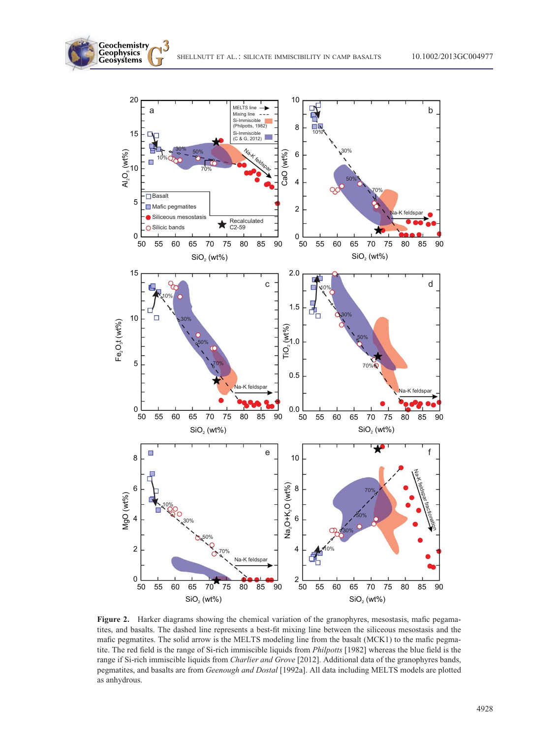Geochemistry<br>Geophysics<br>Geosystems



Figure 2. Harker diagrams showing the chemical variation of the granophyres, mesostasis, mafic pegamatites, and basalts. The dashed line represents a best-fit mixing line between the siliceous mesostasis and the mafic pegmatites. The solid arrow is the MELTS modeling line from the basalt (MCK1) to the mafic pegmatite. The red field is the range of Si-rich immiscible liquids from Philpotts [1982] whereas the blue field is the range if Si-rich immiscible liquids from Charlier and Grove [2012]. Additional data of the granophyres bands, pegmatites, and basalts are from Geenough and Dostal [1992a]. All data including MELTS models are plotted as anhydrous.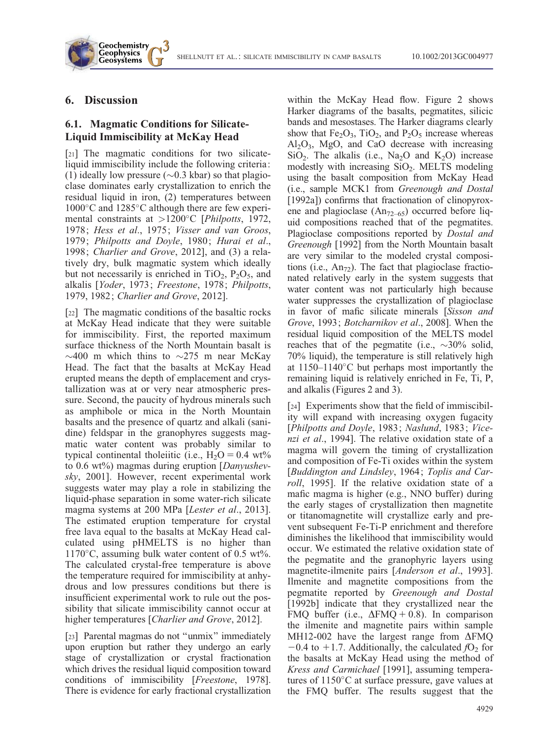## 6. Discussion

Geochemistry **Geophysics Geosystems** 

## 6.1. Magmatic Conditions for Silicate-Liquid Immiscibility at McKay Head

[21] The magmatic conditions for two silicateliquid immiscibility include the following criteria: (1) ideally low pressure ( $\sim$ 0.3 kbar) so that plagioclase dominates early crystallization to enrich the residual liquid in iron, (2) temperatures between  $1000^{\circ}$ C and  $1285^{\circ}$ C although there are few experimental constraints at  $>1200^{\circ}$ C [*Philpotts*, 1972, 1978; Hess et al., 1975; Visser and van Groos, 1979; Philpotts and Doyle, 1980; Hurai et al., 1998; Charlier and Grove, 2012], and (3) a relatively dry, bulk magmatic system which ideally but not necessarily is enriched in  $TiO<sub>2</sub>$ ,  $P<sub>2</sub>O<sub>5</sub>$ , and alkalis [Yoder, 1973; Freestone, 1978; Philpotts, 1979, 1982; Charlier and Grove, 2012].

[22] The magmatic conditions of the basaltic rocks at McKay Head indicate that they were suitable for immiscibility. First, the reported maximum surface thickness of the North Mountain basalt is  $\sim$ 400 m which thins to  $\sim$ 275 m near McKay Head. The fact that the basalts at McKay Head erupted means the depth of emplacement and crystallization was at or very near atmospheric pressure. Second, the paucity of hydrous minerals such as amphibole or mica in the North Mountain basalts and the presence of quartz and alkali (sanidine) feldspar in the granophyres suggests magmatic water content was probably similar to typical continental tholeiitic (i.e.,  $H_2O = 0.4$  wt% to  $0.6 \text{ wt\%}$ ) magmas during eruption [Danyushevsky, 2001]. However, recent experimental work suggests water may play a role in stabilizing the liquid-phase separation in some water-rich silicate magma systems at 200 MPa [Lester et al., 2013]. The estimated eruption temperature for crystal free lava equal to the basalts at McKay Head calculated using pHMELTS is no higher than  $1170^{\circ}$ C, assuming bulk water content of 0.5 wt%. The calculated crystal-free temperature is above the temperature required for immiscibility at anhydrous and low pressures conditions but there is insufficient experimental work to rule out the possibility that silicate immiscibility cannot occur at higher temperatures [*Charlier and Grove*, 2012].

[23] Parental magmas do not "unmix" immediately upon eruption but rather they undergo an early stage of crystallization or crystal fractionation which drives the residual liquid composition toward conditions of immiscibility [Freestone, 1978]. There is evidence for early fractional crystallization

within the McKay Head flow. Figure 2 shows Harker diagrams of the basalts, pegmatites, silicic bands and mesostases. The Harker diagrams clearly show that  $Fe<sub>2</sub>O<sub>3</sub>$ , TiO<sub>2</sub>, and P<sub>2</sub>O<sub>5</sub> increase whereas  $Al_2O_3$ , MgO, and CaO decrease with increasing  $SiO<sub>2</sub>$ . The alkalis (i.e., Na<sub>2</sub>O and K<sub>2</sub>O) increase modestly with increasing  $SiO<sub>2</sub>$ . MELTS modeling using the basalt composition from McKay Head (i.e., sample MCK1 from Greenough and Dostal [1992a]) confirms that fractionation of clinopyroxene and plagioclase  $(An_{72-65})$  occurred before liquid compositions reached that of the pegmatites. Plagioclase compositions reported by Dostal and Greenough [1992] from the North Mountain basalt are very similar to the modeled crystal compositions (i.e.,  $An_{72}$ ). The fact that plagioclase fractionated relatively early in the system suggests that water content was not particularly high because water suppresses the crystallization of plagioclase in favor of mafic silicate minerals [Sisson and Grove, 1993; Botcharnikov et al., 2008]. When the residual liquid composition of the MELTS model reaches that of the pegmatite (i.e.,  $\sim$ 30% solid, 70% liquid), the temperature is still relatively high at  $1150-1140^{\circ}$ C but perhaps most importantly the remaining liquid is relatively enriched in Fe, Ti, P, and alkalis (Figures 2 and 3).

[24] Experiments show that the field of immiscibility will expand with increasing oxygen fugacity [Philpotts and Doyle, 1983; Naslund, 1983; Vicenzi et al., 1994]. The relative oxidation state of a magma will govern the timing of crystallization and composition of Fe-Ti oxides within the system [Buddington and Lindsley, 1964; Toplis and Carroll, 1995]. If the relative oxidation state of a mafic magma is higher (e.g., NNO buffer) during the early stages of crystallization then magnetite or titanomagnetite will crystallize early and prevent subsequent Fe-Ti-P enrichment and therefore diminishes the likelihood that immiscibility would occur. We estimated the relative oxidation state of the pegmatite and the granophyric layers using magnetite-ilmenite pairs [Anderson et al., 1993]. Ilmenite and magnetite compositions from the pegmatite reported by Greenough and Dostal [1992b] indicate that they crystallized near the FMQ buffer (i.e.,  $\Delta$ FMQ + 0.8). In comparison the ilmenite and magnetite pairs within sample MH12-002 have the largest range from  $\Delta$ FMQ  $-0.4$  to  $+1.7$ . Additionally, the calculated  $fO<sub>2</sub>$  for the basalts at McKay Head using the method of Kress and Carmichael [1991], assuming temperatures of  $1150^{\circ}$ C at surface pressure, gave values at the FMQ buffer. The results suggest that the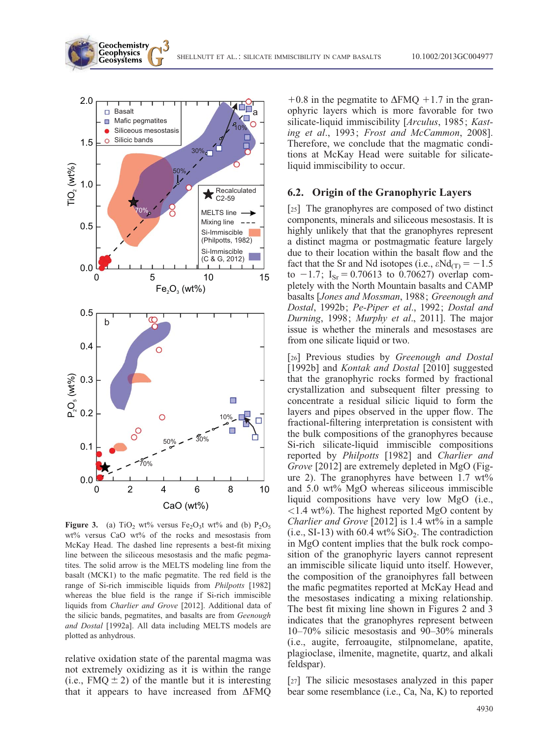

Geochemistry **Geophysics Geosystems** 

Figure 3. (a)  $TiO<sub>2</sub>$  wt% versus Fe<sub>2</sub>O<sub>3</sub>t wt% and (b) P<sub>2</sub>O<sub>5</sub> wt% versus CaO wt% of the rocks and mesostasis from McKay Head. The dashed line represents a best-fit mixing line between the siliceous mesostasis and the mafic pegmatites. The solid arrow is the MELTS modeling line from the basalt (MCK1) to the mafic pegmatite. The red field is the range of Si-rich immiscible liquids from *Philpotts* [1982] whereas the blue field is the range if Si-rich immiscible liquids from Charlier and Grove [2012]. Additional data of the silicic bands, pegmatites, and basalts are from Geenough and Dostal [1992a]. All data including MELTS models are plotted as anhydrous.

relative oxidation state of the parental magma was not extremely oxidizing as it is within the range (i.e., FMQ  $\pm$  2) of the mantle but it is interesting that it appears to have increased from  $\triangle FMO$ 

 $+0.8$  in the pegmatite to  $\Delta$ FMQ  $+1.7$  in the granophyric layers which is more favorable for two silicate-liquid immiscibility [Arculus, 1985; Kasting et al., 1993; Frost and McCammon, 2008]. Therefore, we conclude that the magmatic conditions at McKay Head were suitable for silicateliquid immiscibility to occur.

SHELLNUTT ET AL.: SILICATE IMMISCIBILITY IN CAMP BASALTS 10.1002/2013GC004977

#### 6.2. Origin of the Granophyric Layers

[25] The granophyres are composed of two distinct components, minerals and siliceous mesostasis. It is highly unlikely that that the granophyres represent a distinct magma or postmagmatic feature largely due to their location within the basalt flow and the fact that the Sr and Nd isotopes (i.e.,  $\varepsilon N d_{(T)} = -1.5$ to  $-1.7$ ; I<sub>Sr</sub> = 0.70613 to 0.70627) overlap completely with the North Mountain basalts and CAMP basalts [Jones and Mossman, 1988; Greenough and Dostal, 1992b; Pe-Piper et al., 1992; Dostal and Durning, 1998; Murphy et al., 2011]. The major issue is whether the minerals and mesostases are from one silicate liquid or two.

[26] Previous studies by Greenough and Dostal [1992b] and *Kontak and Dostal* [2010] suggested that the granophyric rocks formed by fractional crystallization and subsequent filter pressing to concentrate a residual silicic liquid to form the layers and pipes observed in the upper flow. The fractional-filtering interpretation is consistent with the bulk compositions of the granophyres because Si-rich silicate-liquid immiscible compositions reported by Philpotts [1982] and Charlier and Grove [2012] are extremely depleted in MgO (Figure 2). The granophyres have between  $1.7 \text{ wt\%}$ and 5.0 wt% MgO whereas siliceous immiscible liquid compositions have very low MgO (i.e.,  $\langle 1.4 \text{ wt\%} \rangle$ . The highest reported MgO content by Charlier and Grove [2012] is 1.4 wt% in a sample (i.e., SI-13) with 60.4 wt%  $SiO<sub>2</sub>$ . The contradiction in MgO content implies that the bulk rock composition of the granophyric layers cannot represent an immiscible silicate liquid unto itself. However, the composition of the granoiphyres fall between the mafic pegmatites reported at McKay Head and the mesostases indicating a mixing relationship. The best fit mixing line shown in Figures 2 and 3 indicates that the granophyres represent between 10–70% silicic mesostasis and 90–30% minerals (i.e., augite, ferroaugite, stilpnomelane, apatite, plagioclase, ilmenite, magnetite, quartz, and alkali feldspar).

[27] The silicic mesostases analyzed in this paper bear some resemblance (i.e., Ca, Na, K) to reported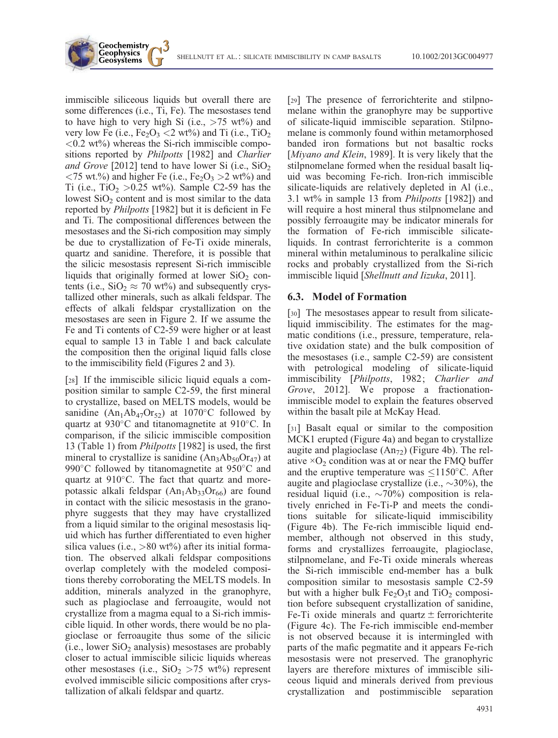immiscible siliceous liquids but overall there are some differences (i.e., Ti, Fe). The mesostases tend to have high to very high Si (i.e.,  $>75$  wt%) and very low Fe (i.e.,  $Fe<sub>2</sub>O<sub>3</sub> < 2$  wt%) and Ti (i.e., TiO<sub>2</sub>  $\langle 0.2 \text{ wt\%} \rangle$  whereas the Si-rich immiscible compositions reported by *Philpotts* [1982] and *Charlier* and Grove [2012] tend to have lower Si (i.e.,  $SiO<sub>2</sub>$  $\langle 75 \text{ wt.}\% \rangle$  and higher Fe (i.e., Fe<sub>2</sub>O<sub>3</sub>  $>2 \text{ wt\%}$ ) and Ti (i.e., TiO<sub>2</sub>  $> 0.25$  wt%). Sample C2-59 has the lowest  $SiO<sub>2</sub>$  content and is most similar to the data reported by Philpotts [1982] but it is deficient in Fe and Ti. The compositional differences between the mesostases and the Si-rich composition may simply be due to crystallization of Fe-Ti oxide minerals, quartz and sanidine. Therefore, it is possible that the silicic mesostasis represent Si-rich immiscible liquids that originally formed at lower  $SiO<sub>2</sub>$  contents (i.e.,  $SiO_2 \approx 70$  wt%) and subsequently crystallized other minerals, such as alkali feldspar. The effects of alkali feldspar crystallization on the mesostases are seen in Figure 2. If we assume the Fe and Ti contents of C2-59 were higher or at least equal to sample 13 in Table 1 and back calculate the composition then the original liquid falls close to the immiscibility field (Figures 2 and 3).

Geochemistry **Geophysics Geosystems** 

[28] If the immiscible silicic liquid equals a composition similar to sample C2-59, the first mineral to crystallize, based on MELTS models, would be sanidine  $(An_1Ab_{47}Or_{52})$  at 1070°C followed by quartz at  $930^{\circ}$ C and titanomagnetite at  $910^{\circ}$ C. In comparison, if the silicic immiscible composition 13 (Table 1) from Philpotts [1982] is used, the first mineral to crystallize is sanidine  $(An_3Ab_{50}Or_{47})$  at 990 $\degree$ C followed by titanomagnetite at 950 $\degree$ C and quartz at  $910^{\circ}$ C. The fact that quartz and morepotassic alkali feldspar  $(An<sub>1</sub>Ab<sub>33</sub>Or<sub>66</sub>)$  are found in contact with the silicic mesostasis in the granophyre suggests that they may have crystallized from a liquid similar to the original mesostasis liquid which has further differentiated to even higher silica values (i.e.,  $>80$  wt%) after its initial formation. The observed alkali feldspar compositions overlap completely with the modeled compositions thereby corroborating the MELTS models. In addition, minerals analyzed in the granophyre, such as plagioclase and ferroaugite, would not crystallize from a magma equal to a Si-rich immiscible liquid. In other words, there would be no plagioclase or ferroaugite thus some of the silicic  $(i.e., lower SiO<sub>2</sub> analysis) mesostases are probably$ closer to actual immiscible silicic liquids whereas other mesostases (i.e.,  $SiO<sub>2</sub> > 75$  wt%) represent evolved immiscible silicic compositions after crystallization of alkali feldspar and quartz.

[29] The presence of ferrorichterite and stilpnomelane within the granophyre may be supportive of silicate-liquid immiscible separation. Stilpnomelane is commonly found within metamorphosed banded iron formations but not basaltic rocks [Miyano and Klein, 1989]. It is very likely that the stilpnomelane formed when the residual basalt liquid was becoming Fe-rich. Iron-rich immiscible silicate-liquids are relatively depleted in Al (i.e., 3.1 wt% in sample 13 from Philpotts [1982]) and will require a host mineral thus stilpnomelane and possibly ferroaugite may be indicator minerals for the formation of Fe-rich immiscible silicateliquids. In contrast ferrorichterite is a common mineral within metaluminous to peralkaline silicic rocks and probably crystallized from the Si-rich immiscible liquid [Shellnutt and Iizuka, 2011].

#### 6.3. Model of Formation

[30] The mesostases appear to result from silicateliquid immiscibility. The estimates for the magmatic conditions (i.e., pressure, temperature, relative oxidation state) and the bulk composition of the mesostases (i.e., sample C2-59) are consistent with petrological modeling of silicate-liquid immiscibility [Philpotts, 1982; Charlier and Grove, 2012]. We propose a fractionationimmiscible model to explain the features observed within the basalt pile at McKay Head.

[31] Basalt equal or similar to the composition MCK1 erupted (Figure 4a) and began to crystallize augite and plagioclase  $(An_{72})$  (Figure 4b). The relative  $\times$ O<sub>2</sub> condition was at or near the FMQ buffer and the eruptive temperature was  $\leq 1150^{\circ}$ C. After augite and plagioclase crystallize (i.e.,  $\sim$ 30%), the residual liquid (i.e.,  $\sim$ 70%) composition is relatively enriched in Fe-Ti-P and meets the conditions suitable for silicate-liquid immiscibility (Figure 4b). The Fe-rich immiscible liquid endmember, although not observed in this study, forms and crystallizes ferroaugite, plagioclase, stilpnomelane, and Fe-Ti oxide minerals whereas the Si-rich immiscible end-member has a bulk composition similar to mesostasis sample C2-59 but with a higher bulk  $Fe<sub>2</sub>O<sub>3</sub>$ t and TiO<sub>2</sub> composition before subsequent crystallization of sanidine, Fe-Ti oxide minerals and quartz  $\pm$  ferrorichterite (Figure 4c). The Fe-rich immiscible end-member is not observed because it is intermingled with parts of the mafic pegmatite and it appears Fe-rich mesostasis were not preserved. The granophyric layers are therefore mixtures of immiscible siliceous liquid and minerals derived from previous crystallization and postimmiscible separation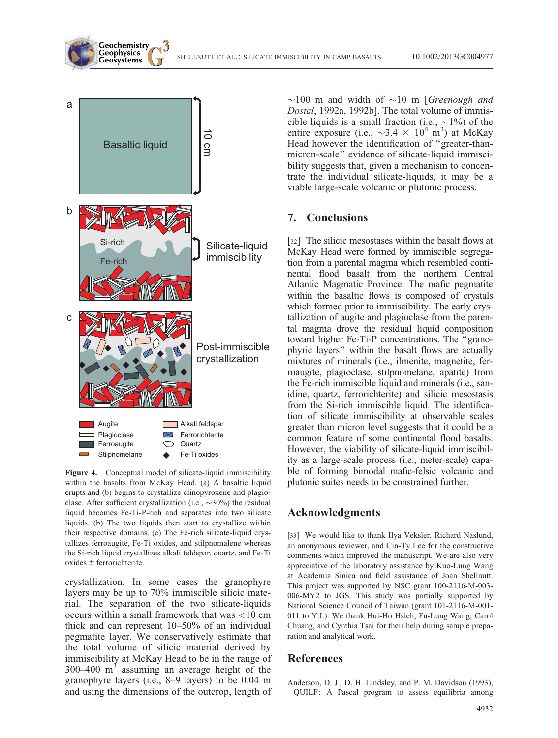

Geochemistry **Geophysics Geosystems** 

Figure 4. Conceptual model of silicate-liquid immiscibility within the basalts from McKay Head. (a) A basaltic liquid erupts and (b) begins to crystallize clinopyroxene and plagioclase. After sufficient crystallization (i.e.,  $\sim$ 30%) the residual liquid becomes Fe-Ti-P-rich and separates into two silicate liquids. (b) The two liquids then start to crystallize within their respective domains. (c) The Fe-rich silicate-liquid crystallizes ferroaugite, Fe-Ti oxides, and stilpnomalene whereas the Si-rich liquid crystallizes alkali feldspar, quartz, and Fe-Ti oxides  $\pm$  ferrorichterite.

crystallization. In some cases the granophyre layers may be up to 70% immiscible silicic material. The separation of the two silicate-liquids occurs within a small framework that was  $<$ 10 cm thick and can represent 10–50% of an individual pegmatite layer. We conservatively estimate that the total volume of silicic material derived by immiscibility at McKay Head to be in the range of  $300-400$  m<sup>3</sup> assuming an average height of the granophyre layers (i.e., 8–9 layers) to be 0.04 m and using the dimensions of the outcrop, length of

 $\sim$ 100 m and width of  $\sim$ 10 m [*Greenough and* Dostal, 1992a, 1992b]. The total volume of immiscible liquids is a small fraction (i.e.,  $\sim$ 1%) of the entire exposure (i.e.,  $\sim$ 3.4  $\times$  10<sup>4</sup> m<sup>3</sup>) at McKay Head however the identification of ''greater-thanmicron-scale'' evidence of silicate-liquid immiscibility suggests that, given a mechanism to concentrate the individual silicate-liquids, it may be a viable large-scale volcanic or plutonic process.

## 7. Conclusions

[32] The silicic mesostases within the basalt flows at McKay Head were formed by immiscible segregation from a parental magma which resembled continental flood basalt from the northern Central Atlantic Magmatic Province. The mafic pegmatite within the basaltic flows is composed of crystals which formed prior to immiscibility. The early crystallization of augite and plagioclase from the parental magma drove the residual liquid composition toward higher Fe-Ti-P concentrations. The ''granophyric layers'' within the basalt flows are actually mixtures of minerals (i.e., ilmenite, magnetite, ferroaugite, plagioclase, stilpnomelane, apatite) from the Fe-rich immiscible liquid and minerals (i.e., sanidine, quartz, ferrorichterite) and silicic mesostasis from the Si-rich immiscible liquid. The identification of silicate immiscibility at observable scales greater than micron level suggests that it could be a common feature of some continental flood basalts. However, the viability of silicate-liquid immiscibility as a large-scale process (i.e., meter-scale) capable of forming bimodal mafic-felsic volcanic and plutonic suites needs to be constrained further.

#### Acknowledgments

[33] We would like to thank Ilya Veksler, Richard Naslund, an anonymous reviewer, and Cin-Ty Lee for the constructive comments which improved the manuscript. We are also very appreciative of the laboratory assistance by Kuo-Lung Wang at Academia Sinica and field assistance of Joan Shellnutt. This project was supported by NSC grant 100-2116-M-003- 006-MY2 to JGS. This study was partially supported by National Science Council of Taiwan (grant 101-2116-M-001- 011 to Y.I.). We thank Hui-Ho Hsieh, Fu-Lung Wang, Carol Chuang, and Cynthia Tsai for their help during sample preparation and analytical work.

## References

Anderson, D. J., D. H. Lindsley, and P. M. Davidson (1993), QUILF: A Pascal program to assess equilibria among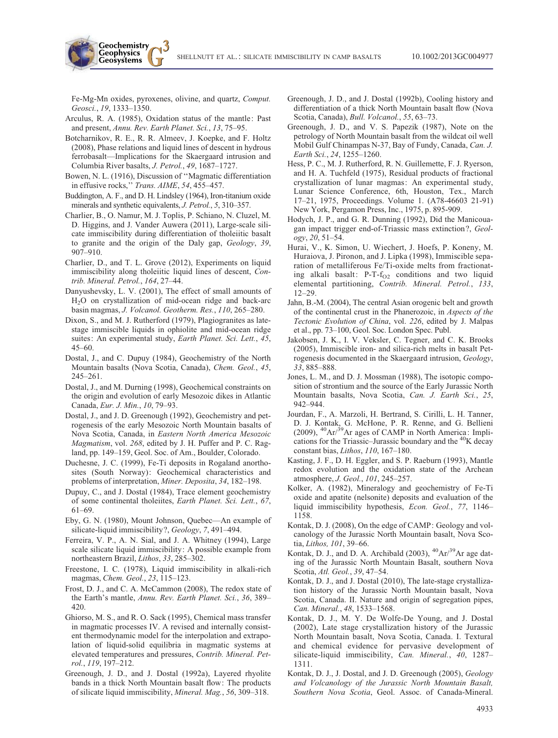Fe-Mg-Mn oxides, pyroxenes, olivine, and quartz, Comput. Geosci., 19, 1333–1350.

Geochemistry **Geophysics Geosystems** 

- Arculus, R. A. (1985), Oxidation status of the mantle: Past and present, Annu. Rev. Earth Planet. Sci., 13, 75–95.
- Botcharnikov, R. E., R. R. Almeev, J. Koepke, and F. Holtz (2008), Phase relations and liquid lines of descent in hydrous ferrobasalt—Implications for the Skaergaard intrusion and Columbia River basalts, J. Petrol., 49, 1687–1727.
- Bowen, N. L. (1916), Discussion of ''Magmatic differentiation in effusive rocks,'' Trans. AIME, 54, 455–457.
- Buddington, A. F., and D. H. Lindsley (1964), Iron-titanium oxide minerals and synthetic equivalents, J. Petrol., 5, 310–357.
- Charlier, B., O. Namur, M. J. Toplis, P. Schiano, N. Cluzel, M. D. Higgins, and J. Vander Auwera (2011), Large-scale silicate immiscibility during differentiation of tholeiitic basalt to granite and the origin of the Daly gap, Geology, 39, 907–910.
- Charlier, D., and T. L. Grove (2012), Experiments on liquid immiscibility along tholeiitic liquid lines of descent, Contrib. Mineral. Petrol., 164, 27–44.
- Danyushevsky, L. V. (2001), The effect of small amounts of H2O on crystallization of mid-ocean ridge and back-arc basin magmas, J. Volcanol. Geotherm. Res., 110, 265–280.
- Dixon, S., and M. J. Rutherford (1979), Plagiogranites as latestage immiscible liquids in ophiolite and mid-ocean ridge suites: An experimental study, Earth Planet. Sci. Lett., 45, 45–60.
- Dostal, J., and C. Dupuy (1984), Geochemistry of the North Mountain basalts (Nova Scotia, Canada), Chem. Geol., 45, 245–261.
- Dostal, J., and M. Durning (1998), Geochemical constraints on the origin and evolution of early Mesozoic dikes in Atlantic Canada, Eur. J. Min., 10, 79–93.
- Dostal, J., and J. D. Greenough (1992), Geochemistry and petrogenesis of the early Mesozoic North Mountain basalts of Nova Scotia, Canada, in Eastern North America Mesozoic Magmatism, vol. 268, edited by J. H. Puffer and P. C. Ragland, pp. 149–159, Geol. Soc. of Am., Boulder, Colorado.
- Duchesne, J. C. (1999), Fe-Ti deposits in Rogaland anorthosites (South Norway): Geochemical characteristics and problems of interpretation, Miner. Deposita, 34, 182–198.
- Dupuy, C., and J. Dostal (1984), Trace element geochemistry of some continental tholeiites, Earth Planet. Sci. Lett., 67, 61–69.
- Eby, G. N. (1980), Mount Johnson, Quebec—An example of silicate-liquid immiscibility?, Geology, 7, 491–494.
- Ferreira, V. P., A. N. Sial, and J. A. Whitney (1994), Large scale silicate liquid immiscibility: A possible example from northeastern Brazil, Lithos, 33, 285–302.
- Freestone, I. C. (1978), Liquid immiscibility in alkali-rich magmas, Chem. Geol., 23, 115–123.
- Frost, D. J., and C. A. McCammon (2008), The redox state of the Earth's mantle, Annu. Rev. Earth Planet. Sci., 36, 389– 420.
- Ghiorso, M. S., and R. O. Sack (1995), Chemical mass transfer in magmatic processes IV. A revised and internally consistent thermodynamic model for the interpolation and extrapolation of liquid-solid equilibria in magmatic systems at elevated temperatures and pressures, Contrib. Mineral. Petrol., 119, 197–212.
- Greenough, J. D., and J. Dostal (1992a), Layered rhyolite bands in a thick North Mountain basalt flow: The products of silicate liquid immiscibility, Mineral. Mag., 56, 309–318.
- Greenough, J. D., and J. Dostal (1992b), Cooling history and differentiation of a thick North Mountain basalt flow (Nova Scotia, Canada), Bull. Volcanol., 55, 63–73.
- Greenough, J. D., and V. S. Papezik (1987), Note on the petrology of North Mountain basalt from the wildcat oil well Mobil Gulf Chinampas N-37, Bay of Fundy, Canada, Can. J. Earth Sci., 24, 1255–1260.
- Hess, P. C., M. J. Rutherford, R. N. Guillemette, F. J. Ryerson, and H. A. Tuchfeld (1975), Residual products of fractional crystallization of lunar magmas: An experimental study, Lunar Science Conference, 6th, Houston, Tex., March 17–21, 1975, Proceedings. Volume 1. (A78-46603 21-91) New York, Pergamon Press, Inc., 1975, p. 895-909.
- Hodych, J. P., and G. R. Dunning (1992), Did the Manicouagan impact trigger end-of-Triassic mass extinction?, Geology, 20, 51–54.
- Hurai, V., K. Simon, U. Wiechert, J. Hoefs, P. Koneny, M. Huraiova, J. Pironon, and J. Lipka (1998), Immiscible separation of metalliferous Fe/Ti-oxide melts from fractionating alkali basalt:  $P-T-f_{O2}$  conditions and two liquid elemental partitioning, Contrib. Mineral. Petrol., 133, 12–29.
- Jahn, B.-M. (2004), The central Asian orogenic belt and growth of the continental crust in the Phanerozoic, in Aspects of the Tectonic Evolution of China, vol. 226, edited by J. Malpas et al., pp. 73–100, Geol. Soc. London Spec. Publ.
- Jakobsen, J. K., I. V. Veksler, C. Tegner, and C. K. Brooks (2005), Immiscible iron- and silica-rich melts in basalt Petrogenesis documented in the Skaergaard intrusion, Geology, 33, 885–888.
- Jones, L. M., and D. J. Mossman (1988), The isotopic composition of strontium and the source of the Early Jurassic North Mountain basalts, Nova Scotia, Can. J. Earth Sci., 25, 942–944.
- Jourdan, F., A. Marzoli, H. Bertrand, S. Cirilli, L. H. Tanner, D. J. Kontak, G. McHone, P. R. Renne, and G. Bellieni  $(2009)$ ,  ${}^{40}Ar^{39}Ar$  ages of CAMP in North America: Implications for the Triassic–Jurassic boundary and the 40K decay constant bias, Lithos, 110, 167–180.
- Kasting, J. F., D. H. Eggler, and S. P. Raeburn (1993), Mantle redox evolution and the oxidation state of the Archean atmosphere, J. Geol., 101, 245–257.
- Kolker, A. (1982), Mineralogy and geochemistry of Fe-Ti oxide and apatite (nelsonite) deposits and evaluation of the liquid immiscibility hypothesis, Econ. Geol., 77, 1146– 1158.
- Kontak, D. J. (2008), On the edge of CAMP: Geology and volcanology of the Jurassic North Mountain basalt, Nova Scotia, Lithos, 101, 39–66.
- Kontak, D. J., and D. A. Archibald (2003),  ${}^{40}Ar/{}^{39}Ar$  age dating of the Jurassic North Mountain Basalt, southern Nova Scotia, Atl. Geol., 39, 47–54.
- Kontak, D. J., and J. Dostal (2010), The late-stage crystallization history of the Jurassic North Mountain basalt, Nova Scotia, Canada. II. Nature and origin of segregation pipes, Can. Mineral., 48, 1533–1568.
- Kontak, D. J., M. Y. De Wolfe-De Young, and J. Dostal (2002), Late stage crystallization history of the Jurassic North Mountain basalt, Nova Scotia, Canada. I. Textural and chemical evidence for pervasive development of silicate-liquid immiscibility, Can. Mineral., 40, 1287-1311.
- Kontak, D. J., J. Dostal, and J. D. Greenough (2005), Geology and Volcanology of the Jurassic North Mountain Basalt, Southern Nova Scotia, Geol. Assoc. of Canada-Mineral.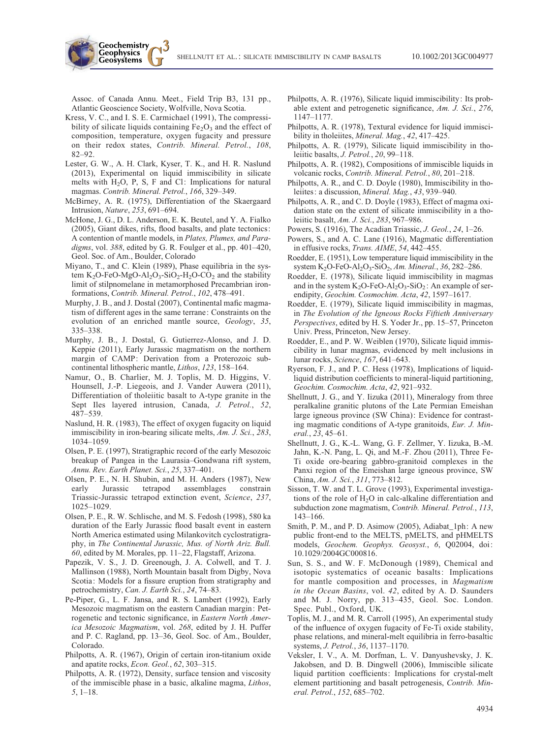Assoc. of Canada Annu. Meet., Field Trip B3, 131 pp., Atlantic Geoscience Society, Wolfville, Nova Scotia.

Geochemistry **Geophysics Geosystems** 

- Kress, V. C., and I. S. E. Carmichael (1991), The compressibility of silicate liquids containing  $Fe<sub>2</sub>O<sub>3</sub>$  and the effect of composition, temperature, oxygen fugacity and pressure on their redox states, Contrib. Mineral. Petrol., 108, 82–92.
- Lester, G. W., A. H. Clark, Kyser, T. K., and H. R. Naslund (2013), Experimental on liquid immiscibility in silicate melts with  $H_2O$ , P, S, F and Cl: Implications for natural magmas. Contrib. Mineral. Petrol., 166, 329–349.
- McBirney, A. R. (1975), Differentiation of the Skaergaard Intrusion, Nature, 253, 691–694.
- McHone, J. G., D. L. Anderson, E. K. Beutel, and Y. A. Fialko (2005), Giant dikes, rifts, flood basalts, and plate tectonics: A contention of mantle models, in Plates, Plumes, and Paradigms, vol. 388, edited by G. R. Foulger et al., pp. 401–420, Geol. Soc. of Am., Boulder, Colorado
- Miyano, T., and C. Klein (1989), Phase equilibria in the system  $K_2O$ -FeO-MgO-Al<sub>2</sub>O<sub>3</sub>-SiO<sub>2</sub>-H<sub>2</sub>O-CO<sub>2</sub> and the stability limit of stilpnomelane in metamorphosed Precambrian ironformations, Contrib. Mineral. Petrol., 102, 478–491.
- Murphy, J. B., and J. Dostal (2007), Continental mafic magmatism of different ages in the same terrane: Constraints on the evolution of an enriched mantle source, Geology, 35, 335–338.
- Murphy, J. B., J. Dostal, G. Gutierrez-Alonso, and J. D. Keppie (2011), Early Jurassic magmatism on the northern margin of CAMP: Derivation from a Proterozoic subcontinental lithospheric mantle, Lithos, 123, 158–164.
- Namur, O., B. Charlier, M. J. Toplis, M. D. Higgins, V. Hounsell, J.-P. Liegeois, and J. Vander Auwera (2011), Differentiation of tholeiitic basalt to A-type granite in the Sept Iles layered intrusion, Canada, J. Petrol., 52, 487–539.
- Naslund, H. R. (1983), The effect of oxygen fugacity on liquid immiscibility in iron-bearing silicate melts, Am. J. Sci., 283, 1034–1059.
- Olsen, P. E. (1997), Stratigraphic record of the early Mesozoic breakup of Pangea in the Laurasia–Gondwana rift system, Annu. Rev. Earth Planet. Sci., 25, 337–401.
- Olsen, P. E., N. H. Shubin, and M. H. Anders (1987), New early Jurassic tetrapod assemblages constrain Triassic-Jurassic tetrapod extinction event, Science, 237, 1025–1029.
- Olsen, P. E., R. W. Schlische, and M. S. Fedosh (1998), 580 ka duration of the Early Jurassic flood basalt event in eastern North America estimated using Milankovitch cyclostratigraphy, in The Continental Jurassic, Mus. of North Ariz. Bull. 60, edited by M. Morales, pp. 11–22, Flagstaff, Arizona.
- Papezik, V. S., J. D. Greenough, J. A. Colwell, and T. J. Mallinson (1988), North Mountain basalt from Digby, Nova Scotia: Models for a fissure eruption from stratigraphy and petrochemistry, Can. J. Earth Sci., 24, 74–83.
- Pe-Piper, G., L. F. Jansa, and R. S. Lambert (1992), Early Mesozoic magmatism on the eastern Canadian margin: Petrogenetic and tectonic significance, in Eastern North America Mesozoic Magmatism, vol. 268, edited by J. H. Puffer and P. C. Ragland, pp. 13–36, Geol. Soc. of Am., Boulder, Colorado.
- Philpotts, A. R. (1967), Origin of certain iron-titanium oxide and apatite rocks, Econ. Geol., 62, 303–315.
- Philpotts, A. R. (1972), Density, surface tension and viscosity of the immiscible phase in a basic, alkaline magma, Lithos, 5, 1–18.
- Philpotts, A. R. (1976), Silicate liquid immiscibility: Its probable extent and petrogenetic significance, Am. J. Sci., 276, 1147–1177.
- Philpotts, A. R. (1978), Textural evidence for liquid immiscibility in tholeiites, Mineral. Mag., 42, 417–425.
- Philpotts, A. R. (1979), Silicate liquid immiscibility in tholeiitic basalts, J. Petrol., 20, 99–118.
- Philpotts, A. R. (1982), Compositions of immiscible liquids in volcanic rocks, Contrib. Mineral. Petrol., 80, 201–218.
- Philpotts, A. R., and C. D. Doyle (1980), Immiscibility in tholeiites: a discussion, Mineral. Mag., 43, 939–940.
- Philpotts, A. R., and C. D. Doyle (1983), Effect of magma oxidation state on the extent of silicate immiscibility in a tholeiitic basalt, Am. J. Sci., 283, 967–986.
- Powers, S. (1916), The Acadian Triassic, J. Geol., 24, 1–26.
- Powers, S., and A. C. Lane (1916), Magmatic differentiation in effusive rocks, Trans. AIME, 54, 442–455.
- Roedder, E. (1951), Low temperature liquid immiscibility in the system K<sub>2</sub>O-FeO-Al<sub>2</sub>O<sub>3</sub>-SiO<sub>2</sub>, Am. Mineral., 36, 282–286.
- Roedder, E. (1978), Silicate liquid immiscibility in magmas and in the system  $K_2O$ -FeO-Al<sub>2</sub>O<sub>3</sub>-SiO<sub>2</sub>: An example of serendipity, Geochim. Cosmochim. Acta, 42, 1597–1617.
- Roedder, E. (1979), Silicate liquid immiscibility in magmas, in The Evolution of the Igneous Rocks Fiftieth Anniversary Perspectives, edited by H. S. Yoder Jr., pp. 15–57, Princeton Univ. Press, Princeton, New Jersey.
- Roedder, E., and P. W. Weiblen (1970), Silicate liquid immiscibility in lunar magmas, evidenced by melt inclusions in lunar rocks, Science, 167, 641–643.
- Ryerson, F. J., and P. C. Hess (1978), Implications of liquidliquid distribution coefficients to mineral-liquid partitioning, Geochim. Cosmochim. Acta, 42, 921–932.
- Shellnutt, J. G., and Y. Iizuka (2011), Mineralogy from three peralkaline granitic plutons of the Late Permian Emeishan large igneous province (SW China): Evidence for contrasting magmatic conditions of A-type granitoids, Eur. J. Mineral., 23, 45–61.
- Shellnutt, J. G., K.-L. Wang, G. F. Zellmer, Y. Iizuka, B.-M. Jahn, K.-N. Pang, L. Qi, and M.-F. Zhou (2011), Three Fe-Ti oxide ore-bearing gabbro-granitoid complexes in the Panxi region of the Emeishan large igneous province, SW China, Am. J. Sci., 311, 773–812.
- Sisson, T. W. and T. L. Grove (1993), Experimental investigations of the role of  $H_2O$  in calc-alkaline differentiation and subduction zone magmatism, Contrib. Mineral. Petrol., 113, 143–166.
- Smith, P. M., and P. D. Asimow (2005), Adiabat\_1ph: A new public front-end to the MELTS, pMELTS, and pHMELTS models, Geochem. Geophys. Geosyst., 6, Q02004, doi: [10.1029/2004GC000816](info:doi/10.1029/2004GC000816).
- Sun, S. S., and W. F. McDonough (1989), Chemical and isotopic systematics of oceanic basalts: Implications for mantle composition and processes, in Magmatism in the Ocean Basins, vol. 42, edited by A. D. Saunders and M. J. Norry, pp. 313–435, Geol. Soc. London. Spec. Publ., Oxford, UK.
- Toplis, M. J., and M. R. Carroll (1995), An experimental study of the influence of oxygen fugacity of Fe-Ti oxide stability, phase relations, and mineral-melt equilibria in ferro-basaltic systems, J. Petrol., 36, 1137–1170.
- Veksler, I. V., A. M. Dorfman, L. V. Danyushevsky, J. K. Jakobsen, and D. B. Dingwell (2006), Immiscible silicate liquid partition coefficients: Implications for crystal-melt element partitioning and basalt petrogenesis, Contrib. Mineral. Petrol., 152, 685–702.